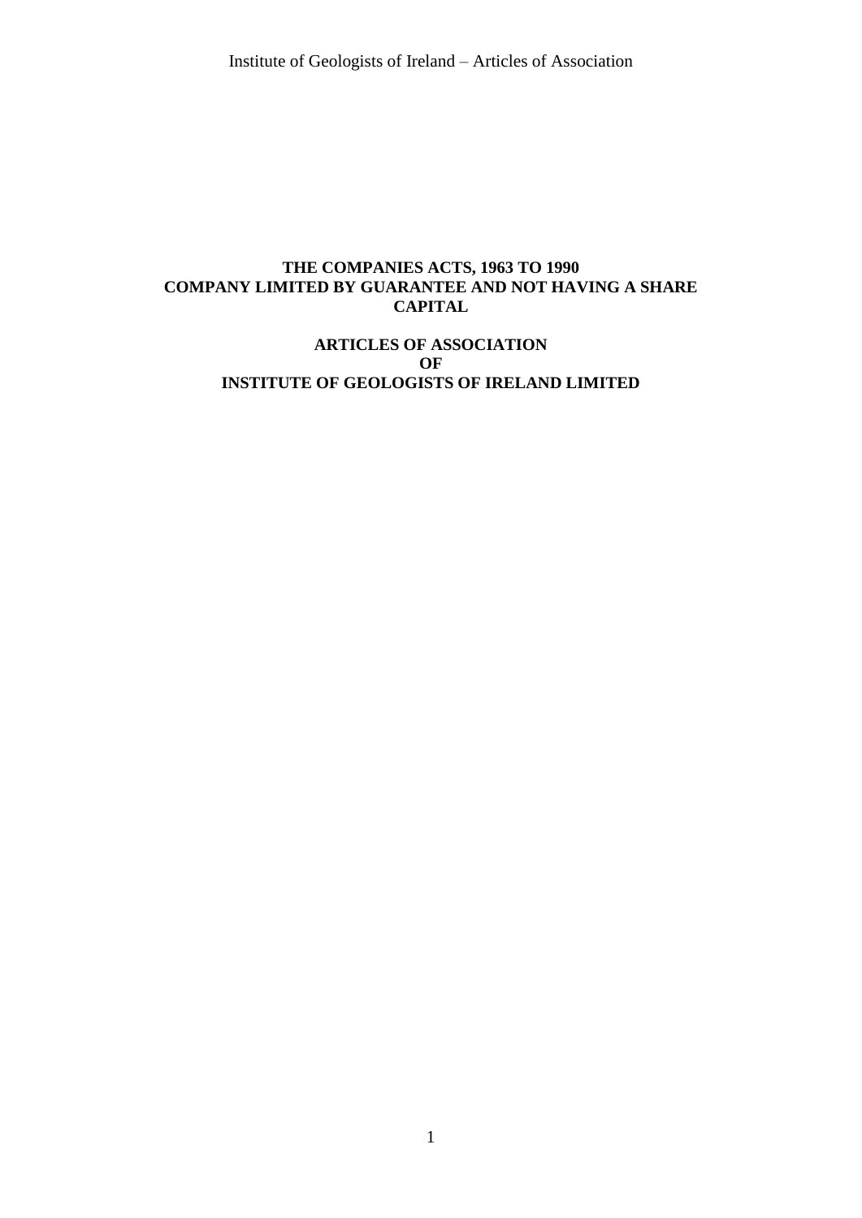# **THE COMPANIES ACTS, 1963 TO 1990 COMPANY LIMITED BY GUARANTEE AND NOT HAVING A SHARE CAPITAL**

# **ARTICLES OF ASSOCIATION OF INSTITUTE OF GEOLOGISTS OF IRELAND LIMITED**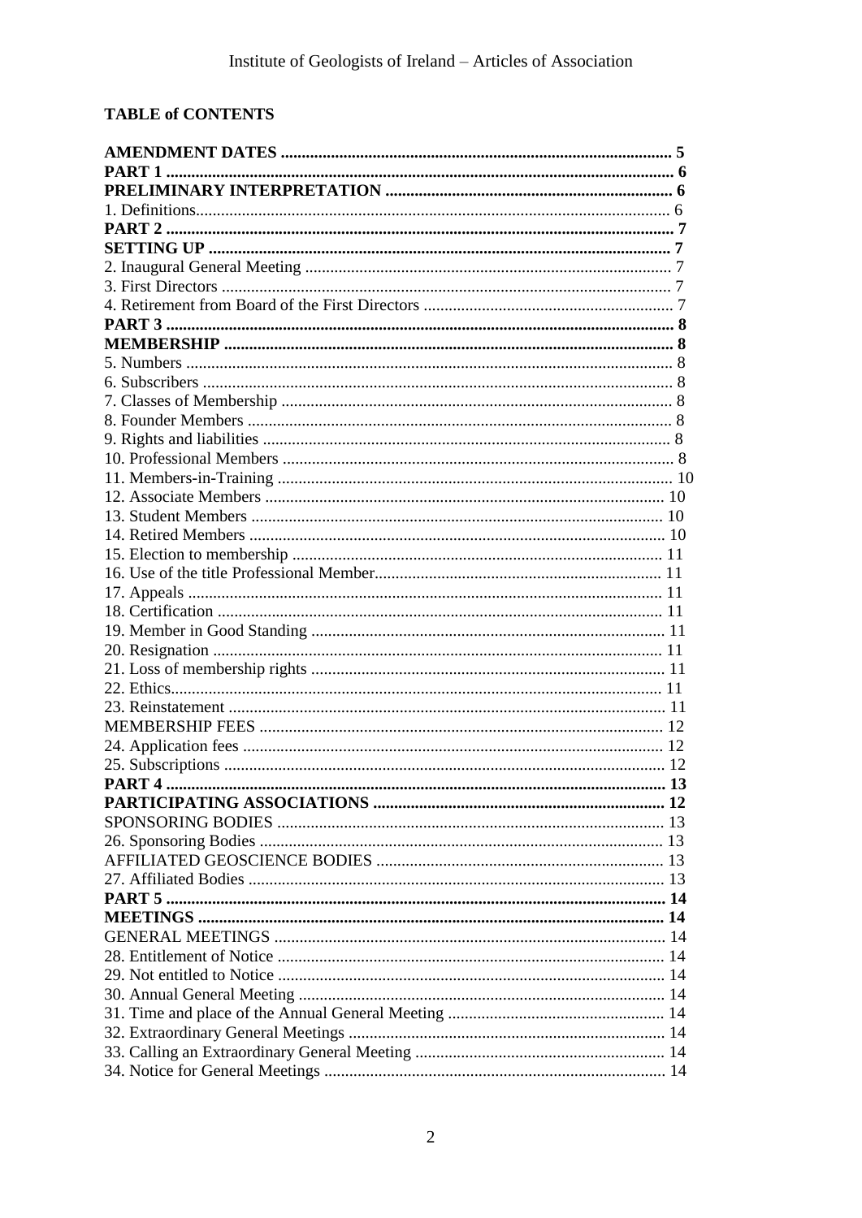# **TABLE of CONTENTS**

| <b>PART 1</b> |  |
|---------------|--|
|               |  |
|               |  |
|               |  |
|               |  |
|               |  |
|               |  |
|               |  |
|               |  |
|               |  |
|               |  |
|               |  |
|               |  |
|               |  |
|               |  |
|               |  |
|               |  |
|               |  |
|               |  |
|               |  |
|               |  |
|               |  |
|               |  |
|               |  |
|               |  |
|               |  |
|               |  |
|               |  |
|               |  |
|               |  |
|               |  |
|               |  |
|               |  |
|               |  |
|               |  |
|               |  |
|               |  |
|               |  |
|               |  |
|               |  |
|               |  |
|               |  |
|               |  |
|               |  |
|               |  |
|               |  |
|               |  |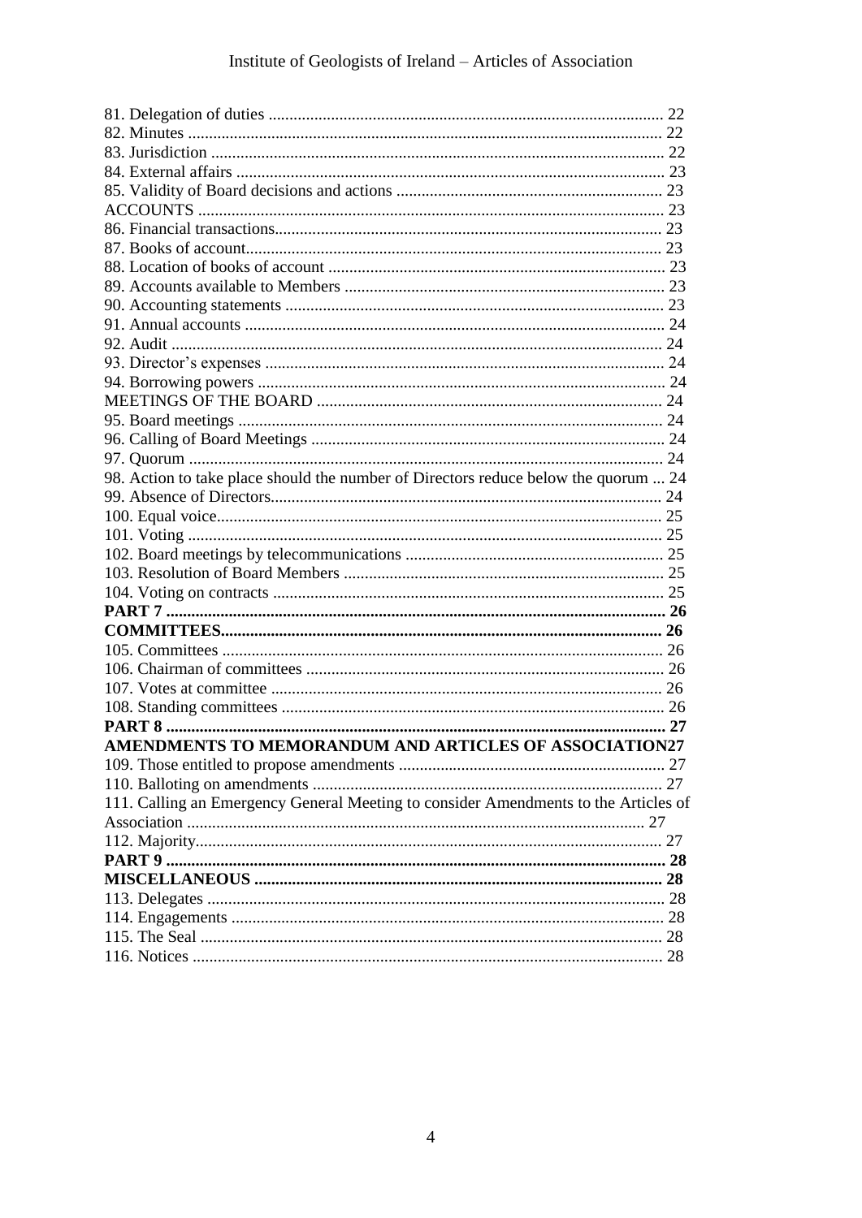| 98. Action to take place should the number of Directors reduce below the quorum  24 |  |
|-------------------------------------------------------------------------------------|--|
|                                                                                     |  |
|                                                                                     |  |
|                                                                                     |  |
|                                                                                     |  |
|                                                                                     |  |
|                                                                                     |  |
|                                                                                     |  |
|                                                                                     |  |
|                                                                                     |  |
|                                                                                     |  |
|                                                                                     |  |
|                                                                                     |  |
|                                                                                     |  |
| AMENDMENTS TO MEMORANDUM AND ARTICLES OF ASSOCIATION27                              |  |
|                                                                                     |  |
|                                                                                     |  |
| 111. Calling an Emergency General Meeting to consider Amendments to the Articles of |  |
|                                                                                     |  |
|                                                                                     |  |
|                                                                                     |  |
|                                                                                     |  |
|                                                                                     |  |
|                                                                                     |  |
|                                                                                     |  |
|                                                                                     |  |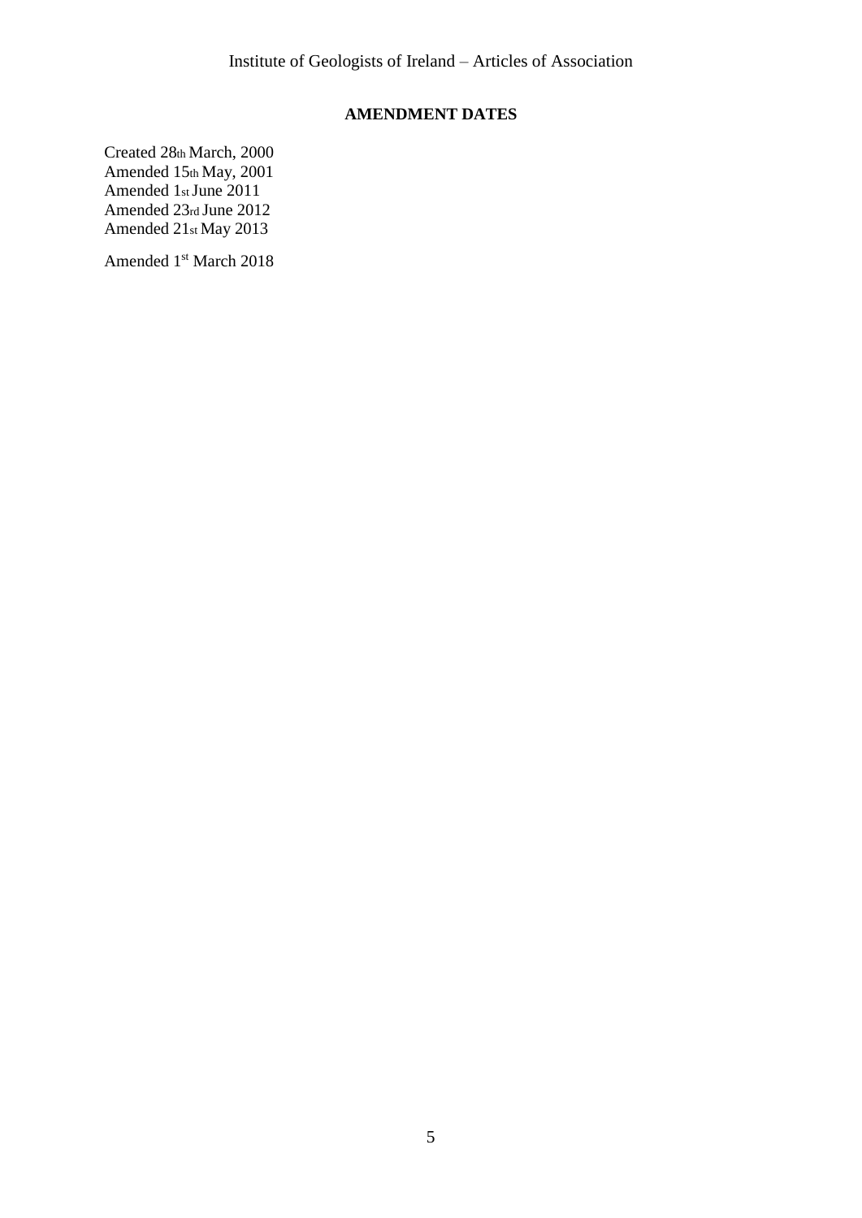# **AMENDMENT DATES**

Created 28th March, 2000 Amended 15th May, 2001 Amended 1st June 2011 Amended 23rd June 2012 Amended 21st May 2013

Amended 1 st March 2018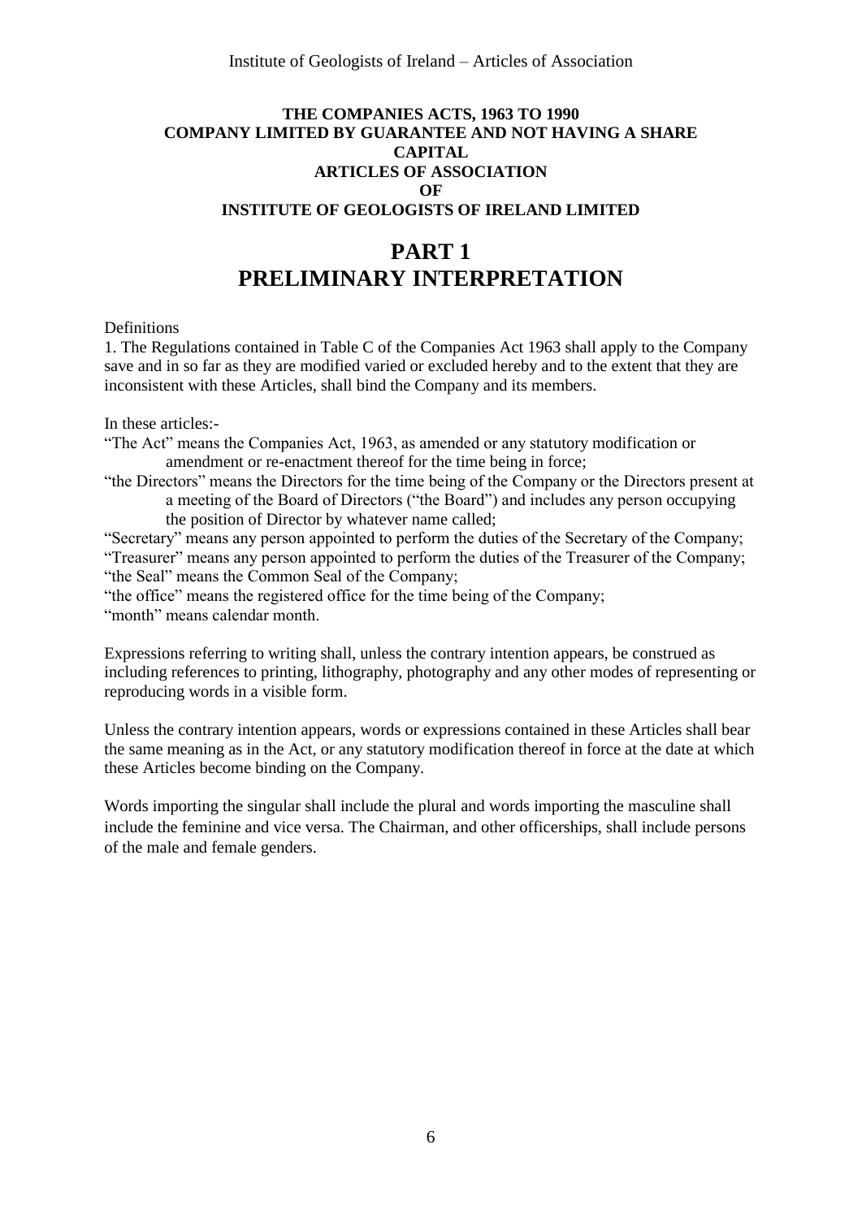# **THE COMPANIES ACTS, 1963 TO 1990 COMPANY LIMITED BY GUARANTEE AND NOT HAVING A SHARE CAPITAL ARTICLES OF ASSOCIATION OF INSTITUTE OF GEOLOGISTS OF IRELAND LIMITED**

# **PART 1 PRELIMINARY INTERPRETATION**

## **Definitions**

1. The Regulations contained in Table C of the Companies Act 1963 shall apply to the Company save and in so far as they are modified varied or excluded hereby and to the extent that they are inconsistent with these Articles, shall bind the Company and its members.

In these articles:-

- "The Act" means the Companies Act, 1963, as amended or any statutory modification or amendment or re-enactment thereof for the time being in force;
- "the Directors" means the Directors for the time being of the Company or the Directors present at a meeting of the Board of Directors ("the Board") and includes any person occupying the position of Director by whatever name called;

"Secretary" means any person appointed to perform the duties of the Secretary of the Company; "Treasurer" means any person appointed to perform the duties of the Treasurer of the Company; "the Seal" means the Common Seal of the Company;

"the office" means the registered office for the time being of the Company; "month" means calendar month.

Expressions referring to writing shall, unless the contrary intention appears, be construed as including references to printing, lithography, photography and any other modes of representing or reproducing words in a visible form.

Unless the contrary intention appears, words or expressions contained in these Articles shall bear the same meaning as in the Act, or any statutory modification thereof in force at the date at which these Articles become binding on the Company.

Words importing the singular shall include the plural and words importing the masculine shall include the feminine and vice versa. The Chairman, and other officerships, shall include persons of the male and female genders.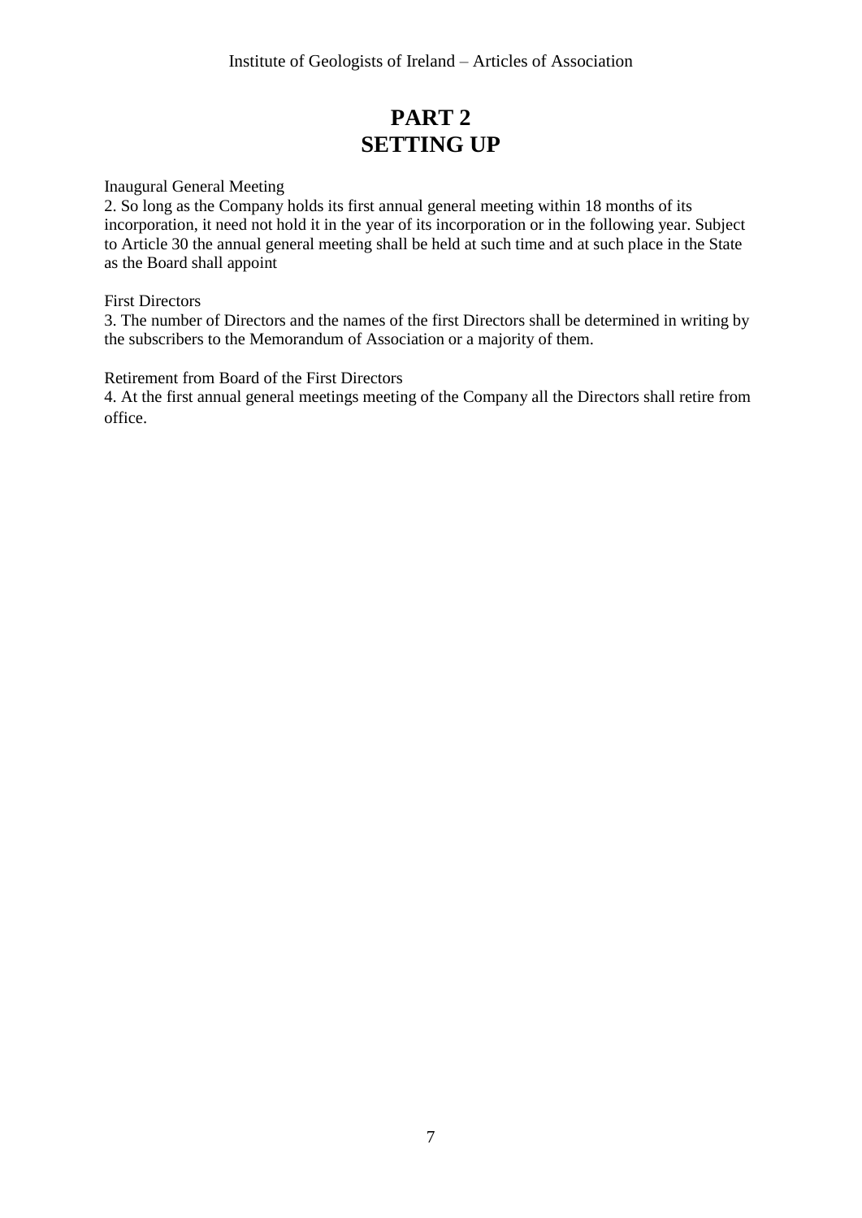# **PART 2 SETTING UP**

Inaugural General Meeting

2. So long as the Company holds its first annual general meeting within 18 months of its incorporation, it need not hold it in the year of its incorporation or in the following year. Subject to Article 30 the annual general meeting shall be held at such time and at such place in the State as the Board shall appoint

# First Directors

3. The number of Directors and the names of the first Directors shall be determined in writing by the subscribers to the Memorandum of Association or a majority of them.

Retirement from Board of the First Directors

4. At the first annual general meetings meeting of the Company all the Directors shall retire from office.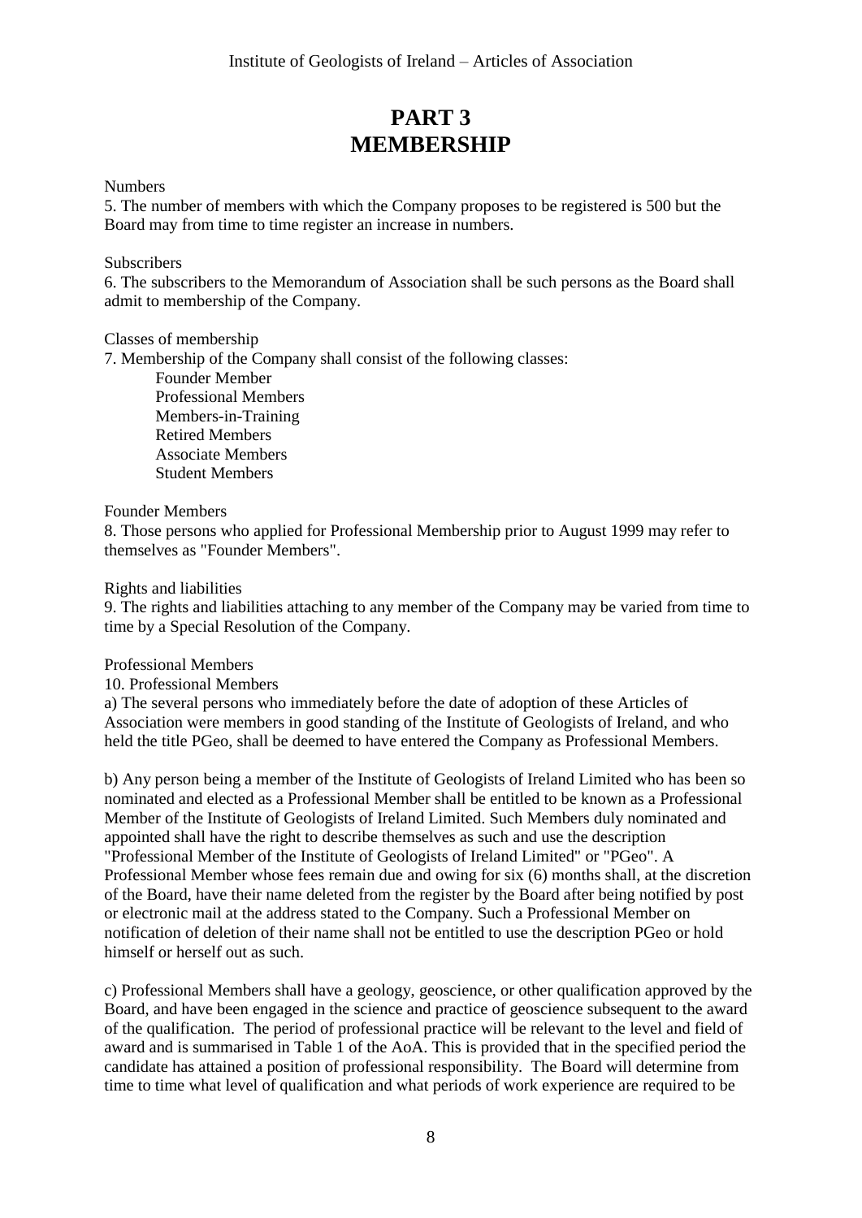# **PART 3 MEMBERSHIP**

**Numbers** 

5. The number of members with which the Company proposes to be registered is 500 but the Board may from time to time register an increase in numbers.

### **Subscribers**

6. The subscribers to the Memorandum of Association shall be such persons as the Board shall admit to membership of the Company.

Classes of membership

7. Membership of the Company shall consist of the following classes:

Founder Member Professional Members Members-in-Training Retired Members Associate Members Student Members

#### Founder Members

8. Those persons who applied for Professional Membership prior to August 1999 may refer to themselves as "Founder Members".

#### Rights and liabilities

9. The rights and liabilities attaching to any member of the Company may be varied from time to time by a Special Resolution of the Company.

Professional Members

10. Professional Members

a) The several persons who immediately before the date of adoption of these Articles of Association were members in good standing of the Institute of Geologists of Ireland, and who held the title PGeo, shall be deemed to have entered the Company as Professional Members.

b) Any person being a member of the Institute of Geologists of Ireland Limited who has been so nominated and elected as a Professional Member shall be entitled to be known as a Professional Member of the Institute of Geologists of Ireland Limited. Such Members duly nominated and appointed shall have the right to describe themselves as such and use the description "Professional Member of the Institute of Geologists of Ireland Limited" or "PGeo". A Professional Member whose fees remain due and owing for six (6) months shall, at the discretion of the Board, have their name deleted from the register by the Board after being notified by post or electronic mail at the address stated to the Company. Such a Professional Member on notification of deletion of their name shall not be entitled to use the description PGeo or hold himself or herself out as such.

c) Professional Members shall have a geology, geoscience, or other qualification approved by the Board, and have been engaged in the science and practice of geoscience subsequent to the award of the qualification. The period of professional practice will be relevant to the level and field of award and is summarised in Table 1 of the AoA. This is provided that in the specified period the candidate has attained a position of professional responsibility. The Board will determine from time to time what level of qualification and what periods of work experience are required to be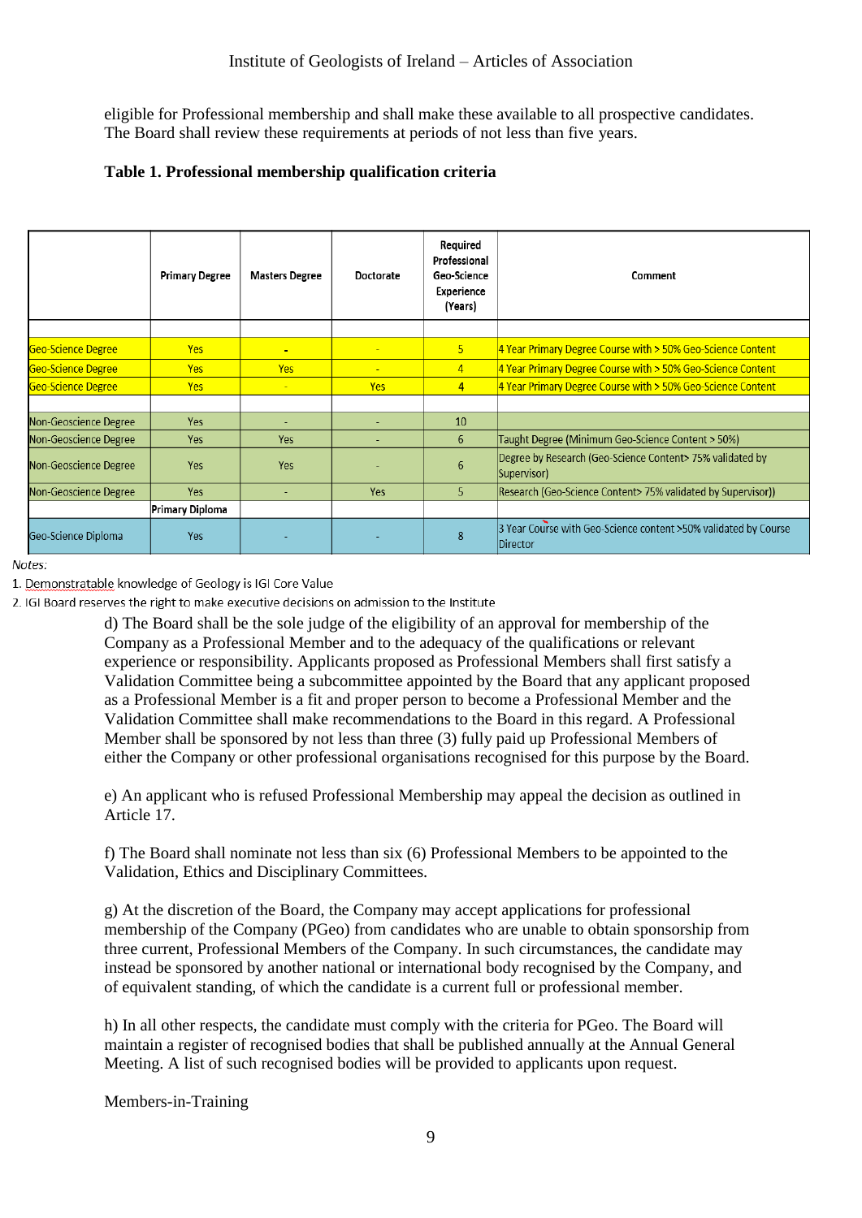eligible for Professional membership and shall make these available to all prospective candidates. The Board shall review these requirements at periods of not less than five years.

# **Table 1. Professional membership qualification criteria**

|                       | <b>Primary Degree</b> | <b>Masters Degree</b> | Doctorate                | Required<br>Professional<br>Geo-Science<br>Experience<br>(Years) | Comment                                                                     |
|-----------------------|-----------------------|-----------------------|--------------------------|------------------------------------------------------------------|-----------------------------------------------------------------------------|
|                       |                       |                       |                          |                                                                  |                                                                             |
| Geo-Science Degree    | <b>Yes</b>            | $\blacksquare$        | $\overline{\phantom{a}}$ | 5                                                                | 4 Year Primary Degree Course with > 50% Geo-Science Content                 |
| Geo-Science Degree    | <b>Yes</b>            | <b>Yes</b>            | $\overline{\phantom{a}}$ | $\overline{4}$                                                   | 4 Year Primary Degree Course with > 50% Geo-Science Content                 |
| Geo-Science Degree    | <b>Yes</b>            | $\mathbf{u}$          | <b>Yes</b>               | $\overline{4}$                                                   | 4 Year Primary Degree Course with > 50% Geo-Science Content                 |
|                       |                       |                       |                          |                                                                  |                                                                             |
| Non-Geoscience Degree | Yes                   |                       |                          | 10                                                               |                                                                             |
| Non-Geoscience Degree | Yes                   | Yes                   |                          | 6                                                                | Taught Degree (Minimum Geo-Science Content > 50%)                           |
| Non-Geoscience Degree | Yes                   | Yes                   |                          | 6                                                                | Degree by Research (Geo-Science Content> 75% validated by<br>Supervisor)    |
| Non-Geoscience Degree | Yes                   |                       | Yes                      | 5                                                                | Research (Geo-Science Content> 75% validated by Supervisor))                |
| Primary Diploma       |                       |                       |                          |                                                                  |                                                                             |
| Geo-Science Diploma   | Yes                   |                       |                          | 8                                                                | 3 Year Course with Geo-Science content >50% validated by Course<br>Director |

Notes:

1. Demonstratable knowledge of Geology is IGI Core Value

2. IGI Board reserves the right to make executive decisions on admission to the Institute

d) The Board shall be the sole judge of the eligibility of an approval for membership of the Company as a Professional Member and to the adequacy of the qualifications or relevant experience or responsibility. Applicants proposed as Professional Members shall first satisfy a Validation Committee being a subcommittee appointed by the Board that any applicant proposed as a Professional Member is a fit and proper person to become a Professional Member and the Validation Committee shall make recommendations to the Board in this regard. A Professional Member shall be sponsored by not less than three (3) fully paid up Professional Members of either the Company or other professional organisations recognised for this purpose by the Board.

e) An applicant who is refused Professional Membership may appeal the decision as outlined in Article 17.

f) The Board shall nominate not less than six (6) Professional Members to be appointed to the Validation, Ethics and Disciplinary Committees.

g) At the discretion of the Board, the Company may accept applications for professional membership of the Company (PGeo) from candidates who are unable to obtain sponsorship from three current, Professional Members of the Company. In such circumstances, the candidate may instead be sponsored by another national or international body recognised by the Company, and of equivalent standing, of which the candidate is a current full or professional member.

h) In all other respects, the candidate must comply with the criteria for PGeo. The Board will maintain a register of recognised bodies that shall be published annually at the Annual General Meeting. A list of such recognised bodies will be provided to applicants upon request.

Members-in-Training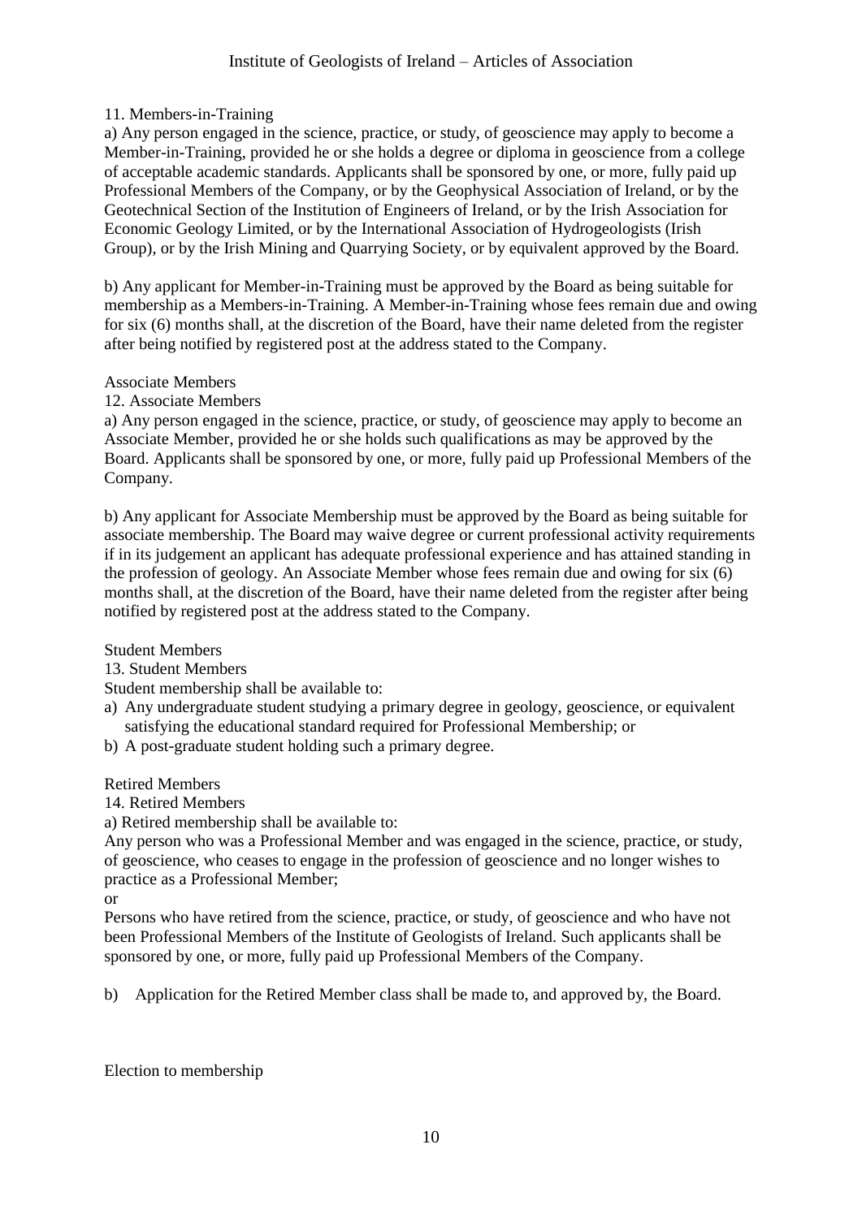# 11. Members-in-Training

a) Any person engaged in the science, practice, or study, of geoscience may apply to become a Member-in-Training, provided he or she holds a degree or diploma in geoscience from a college of acceptable academic standards. Applicants shall be sponsored by one, or more, fully paid up Professional Members of the Company, or by the Geophysical Association of Ireland, or by the Geotechnical Section of the Institution of Engineers of Ireland, or by the Irish Association for Economic Geology Limited, or by the International Association of Hydrogeologists (Irish Group), or by the Irish Mining and Quarrying Society, or by equivalent approved by the Board.

b) Any applicant for Member-in-Training must be approved by the Board as being suitable for membership as a Members-in-Training. A Member-in-Training whose fees remain due and owing for six (6) months shall, at the discretion of the Board, have their name deleted from the register after being notified by registered post at the address stated to the Company.

## Associate Members

12. Associate Members

a) Any person engaged in the science, practice, or study, of geoscience may apply to become an Associate Member, provided he or she holds such qualifications as may be approved by the Board. Applicants shall be sponsored by one, or more, fully paid up Professional Members of the Company.

b) Any applicant for Associate Membership must be approved by the Board as being suitable for associate membership. The Board may waive degree or current professional activity requirements if in its judgement an applicant has adequate professional experience and has attained standing in the profession of geology. An Associate Member whose fees remain due and owing for six (6) months shall, at the discretion of the Board, have their name deleted from the register after being notified by registered post at the address stated to the Company.

## Student Members

## 13. Student Members

Student membership shall be available to:

- a) Any undergraduate student studying a primary degree in geology, geoscience, or equivalent satisfying the educational standard required for Professional Membership; or
- b) A post-graduate student holding such a primary degree.

## Retired Members

14. Retired Members

a) Retired membership shall be available to:

Any person who was a Professional Member and was engaged in the science, practice, or study, of geoscience, who ceases to engage in the profession of geoscience and no longer wishes to practice as a Professional Member;

or

Persons who have retired from the science, practice, or study, of geoscience and who have not been Professional Members of the Institute of Geologists of Ireland. Such applicants shall be sponsored by one, or more, fully paid up Professional Members of the Company.

b) Application for the Retired Member class shall be made to, and approved by, the Board.

Election to membership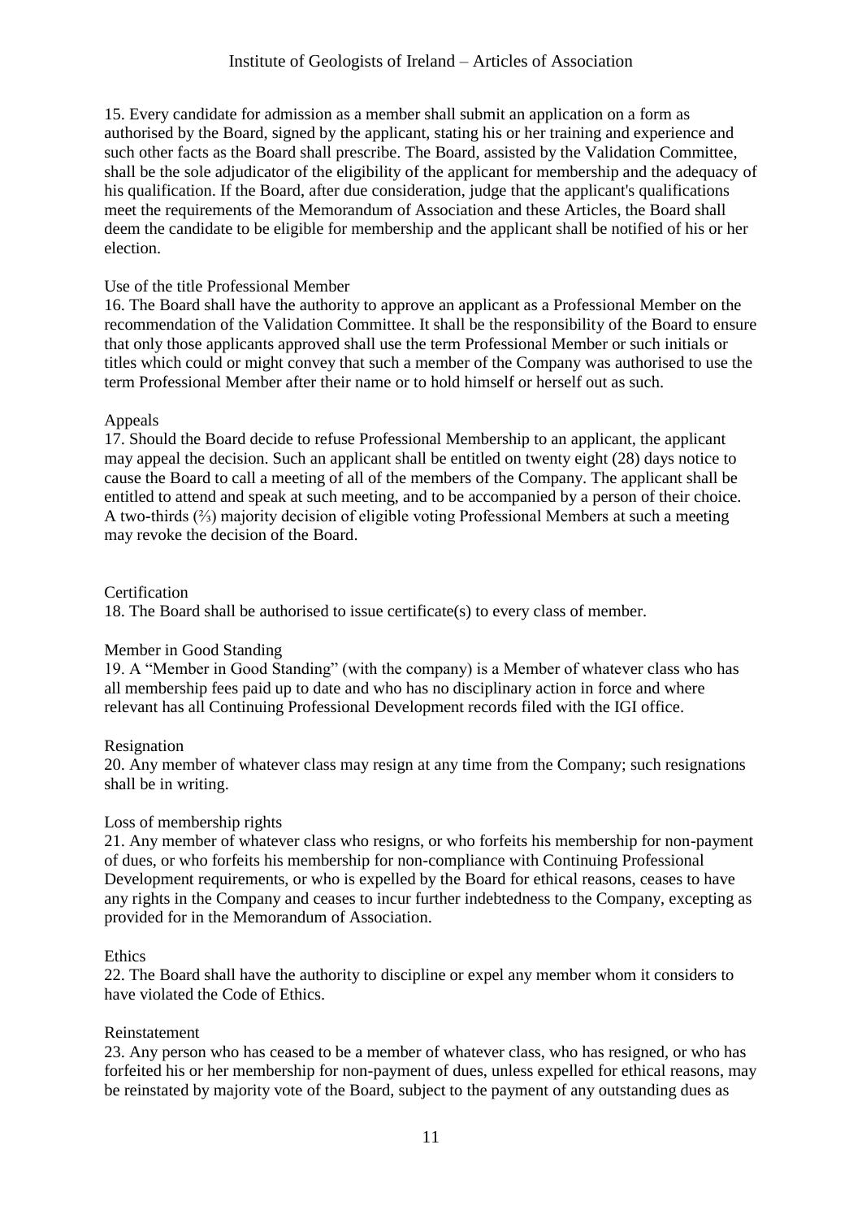15. Every candidate for admission as a member shall submit an application on a form as authorised by the Board, signed by the applicant, stating his or her training and experience and such other facts as the Board shall prescribe. The Board, assisted by the Validation Committee, shall be the sole adjudicator of the eligibility of the applicant for membership and the adequacy of his qualification. If the Board, after due consideration, judge that the applicant's qualifications meet the requirements of the Memorandum of Association and these Articles, the Board shall deem the candidate to be eligible for membership and the applicant shall be notified of his or her election.

# Use of the title Professional Member

16. The Board shall have the authority to approve an applicant as a Professional Member on the recommendation of the Validation Committee. It shall be the responsibility of the Board to ensure that only those applicants approved shall use the term Professional Member or such initials or titles which could or might convey that such a member of the Company was authorised to use the term Professional Member after their name or to hold himself or herself out as such.

# Appeals

17. Should the Board decide to refuse Professional Membership to an applicant, the applicant may appeal the decision. Such an applicant shall be entitled on twenty eight (28) days notice to cause the Board to call a meeting of all of the members of the Company. The applicant shall be entitled to attend and speak at such meeting, and to be accompanied by a person of their choice. A two-thirds (⅔) majority decision of eligible voting Professional Members at such a meeting may revoke the decision of the Board.

## **Certification**

18. The Board shall be authorised to issue certificate(s) to every class of member.

# Member in Good Standing

19. A "Member in Good Standing" (with the company) is a Member of whatever class who has all membership fees paid up to date and who has no disciplinary action in force and where relevant has all Continuing Professional Development records filed with the IGI office.

## Resignation

20. Any member of whatever class may resign at any time from the Company; such resignations shall be in writing.

## Loss of membership rights

21. Any member of whatever class who resigns, or who forfeits his membership for non-payment of dues, or who forfeits his membership for non-compliance with Continuing Professional Development requirements, or who is expelled by the Board for ethical reasons, ceases to have any rights in the Company and ceases to incur further indebtedness to the Company, excepting as provided for in the Memorandum of Association.

## Ethics

22. The Board shall have the authority to discipline or expel any member whom it considers to have violated the Code of Ethics.

## Reinstatement

23. Any person who has ceased to be a member of whatever class, who has resigned, or who has forfeited his or her membership for non-payment of dues, unless expelled for ethical reasons, may be reinstated by majority vote of the Board, subject to the payment of any outstanding dues as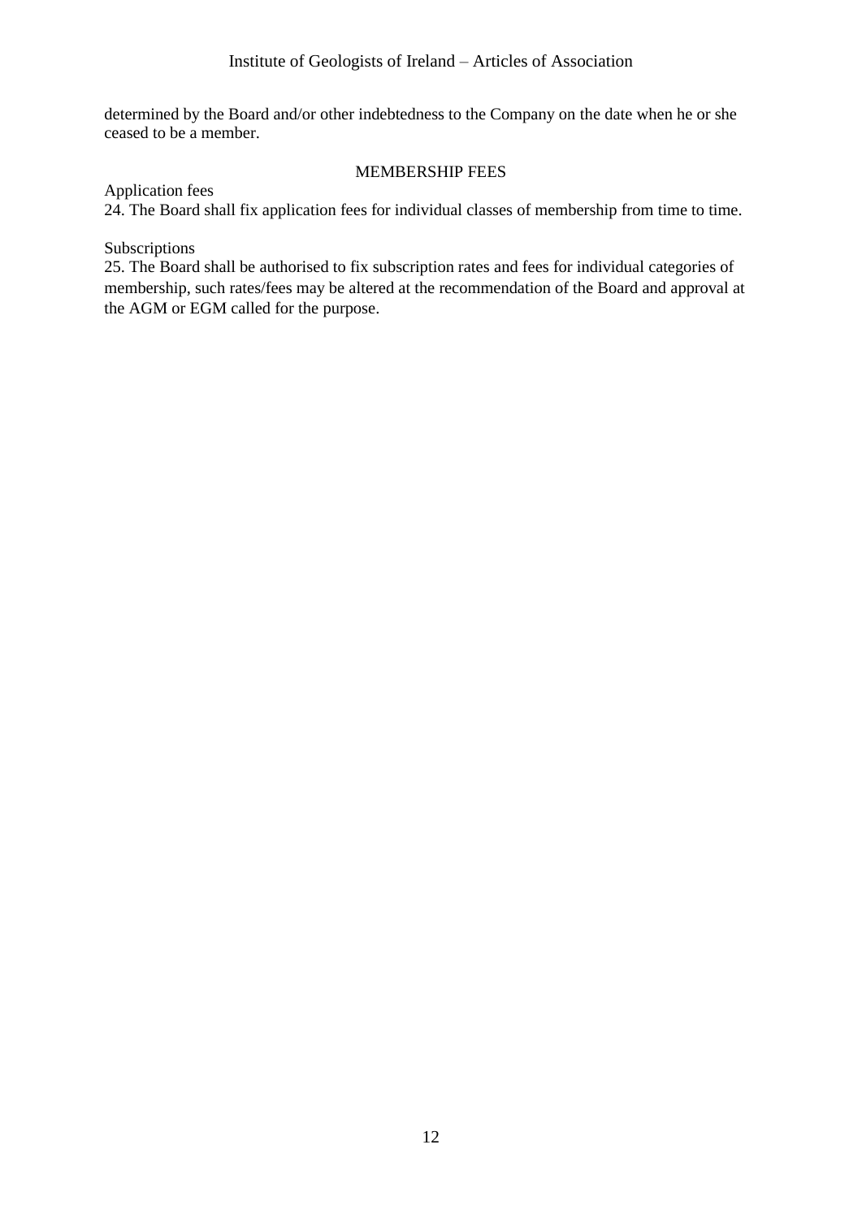determined by the Board and/or other indebtedness to the Company on the date when he or she ceased to be a member.

# MEMBERSHIP FEES

Application fees

24. The Board shall fix application fees for individual classes of membership from time to time.

Subscriptions

25. The Board shall be authorised to fix subscription rates and fees for individual categories of membership, such rates/fees may be altered at the recommendation of the Board and approval at the AGM or EGM called for the purpose.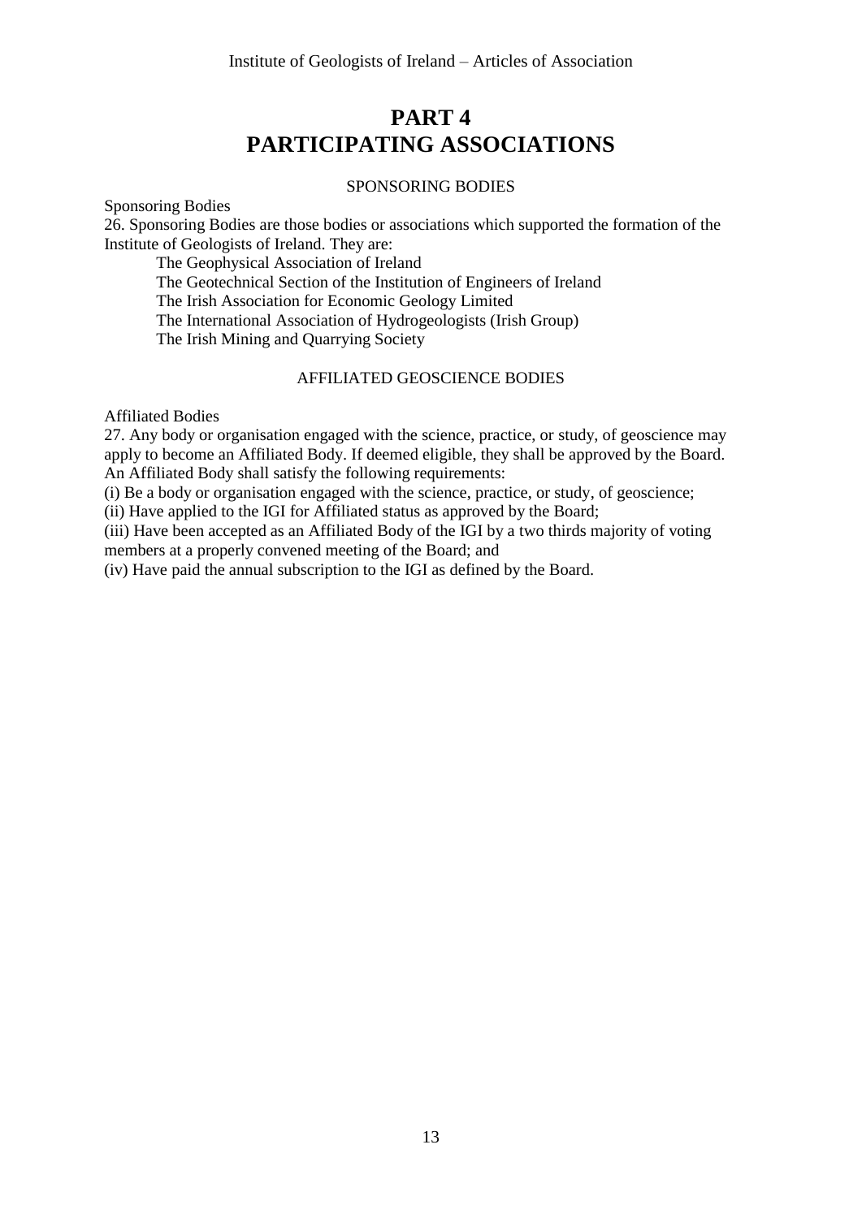# **PART 4 PARTICIPATING ASSOCIATIONS**

### SPONSORING BODIES

Sponsoring Bodies

26. Sponsoring Bodies are those bodies or associations which supported the formation of the Institute of Geologists of Ireland. They are:

The Geophysical Association of Ireland

The Geotechnical Section of the Institution of Engineers of Ireland

The Irish Association for Economic Geology Limited

The International Association of Hydrogeologists (Irish Group)

The Irish Mining and Quarrying Society

## AFFILIATED GEOSCIENCE BODIES

Affiliated Bodies

27. Any body or organisation engaged with the science, practice, or study, of geoscience may apply to become an Affiliated Body. If deemed eligible, they shall be approved by the Board. An Affiliated Body shall satisfy the following requirements:

(i) Be a body or organisation engaged with the science, practice, or study, of geoscience;

(ii) Have applied to the IGI for Affiliated status as approved by the Board;

(iii) Have been accepted as an Affiliated Body of the IGI by a two thirds majority of voting members at a properly convened meeting of the Board; and

(iv) Have paid the annual subscription to the IGI as defined by the Board.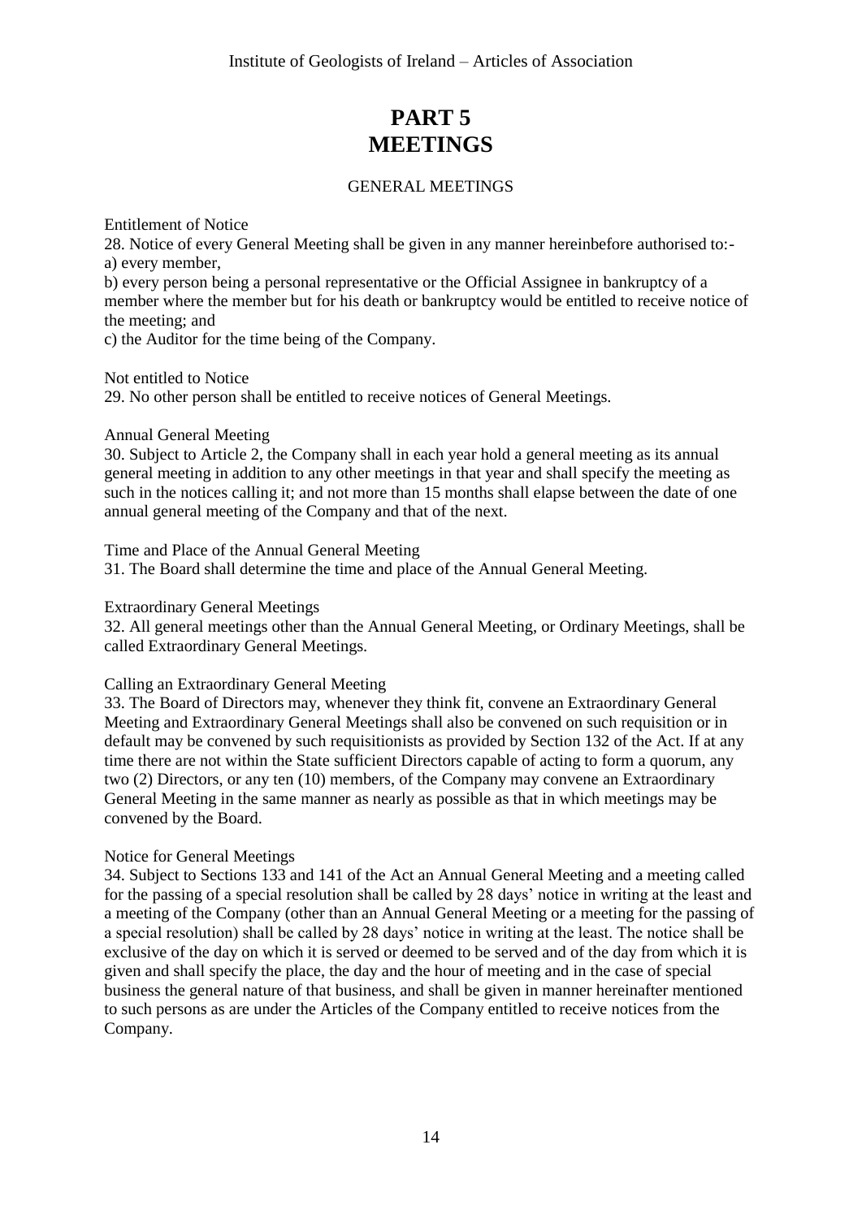# **PART 5 MEETINGS**

# GENERAL MEETINGS

Entitlement of Notice

28. Notice of every General Meeting shall be given in any manner hereinbefore authorised to: a) every member,

b) every person being a personal representative or the Official Assignee in bankruptcy of a member where the member but for his death or bankruptcy would be entitled to receive notice of the meeting; and

c) the Auditor for the time being of the Company.

Not entitled to Notice

29. No other person shall be entitled to receive notices of General Meetings.

#### Annual General Meeting

30. Subject to Article 2, the Company shall in each year hold a general meeting as its annual general meeting in addition to any other meetings in that year and shall specify the meeting as such in the notices calling it; and not more than 15 months shall elapse between the date of one annual general meeting of the Company and that of the next.

Time and Place of the Annual General Meeting

31. The Board shall determine the time and place of the Annual General Meeting.

Extraordinary General Meetings

32. All general meetings other than the Annual General Meeting, or Ordinary Meetings, shall be called Extraordinary General Meetings.

## Calling an Extraordinary General Meeting

33. The Board of Directors may, whenever they think fit, convene an Extraordinary General Meeting and Extraordinary General Meetings shall also be convened on such requisition or in default may be convened by such requisitionists as provided by Section 132 of the Act. If at any time there are not within the State sufficient Directors capable of acting to form a quorum, any two (2) Directors, or any ten (10) members, of the Company may convene an Extraordinary General Meeting in the same manner as nearly as possible as that in which meetings may be convened by the Board.

## Notice for General Meetings

34. Subject to Sections 133 and 141 of the Act an Annual General Meeting and a meeting called for the passing of a special resolution shall be called by 28 days' notice in writing at the least and a meeting of the Company (other than an Annual General Meeting or a meeting for the passing of a special resolution) shall be called by 28 days' notice in writing at the least. The notice shall be exclusive of the day on which it is served or deemed to be served and of the day from which it is given and shall specify the place, the day and the hour of meeting and in the case of special business the general nature of that business, and shall be given in manner hereinafter mentioned to such persons as are under the Articles of the Company entitled to receive notices from the Company.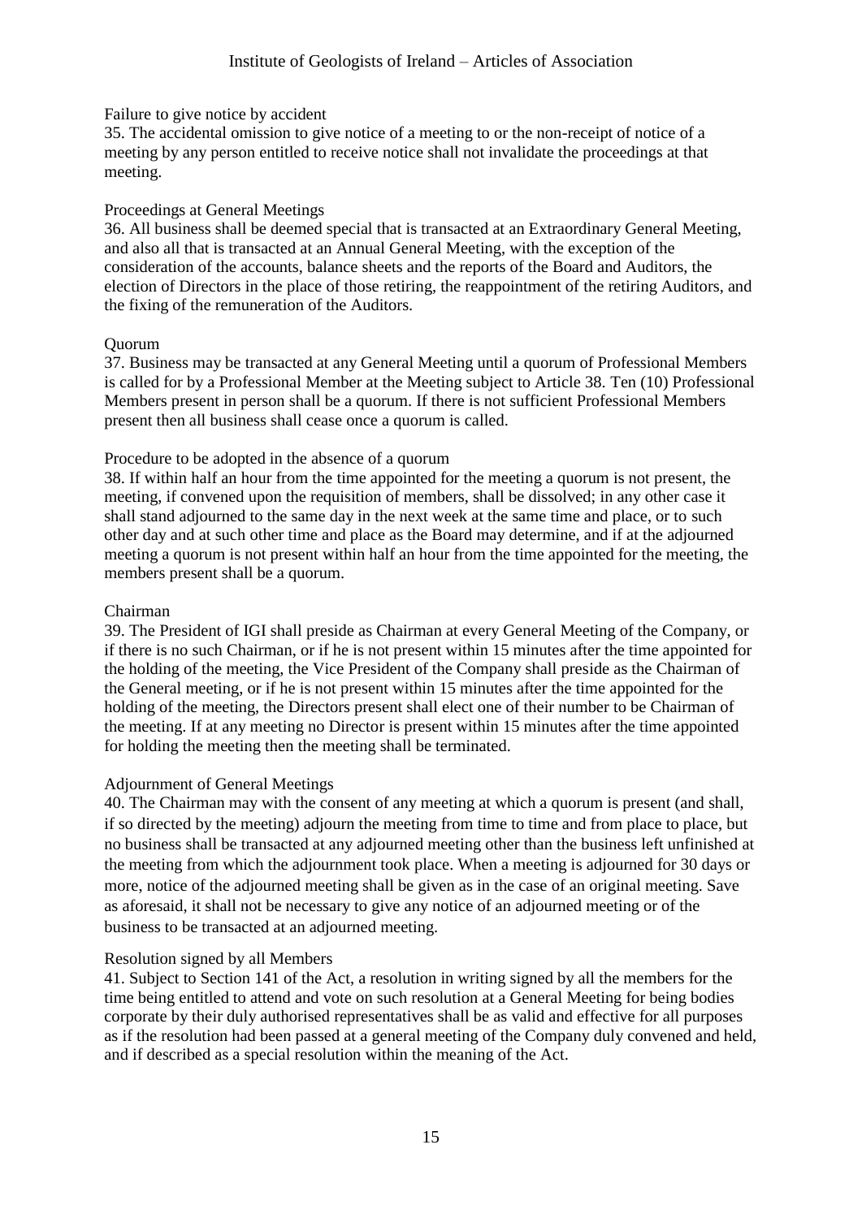### Failure to give notice by accident

35. The accidental omission to give notice of a meeting to or the non-receipt of notice of a meeting by any person entitled to receive notice shall not invalidate the proceedings at that meeting.

### Proceedings at General Meetings

36. All business shall be deemed special that is transacted at an Extraordinary General Meeting, and also all that is transacted at an Annual General Meeting, with the exception of the consideration of the accounts, balance sheets and the reports of the Board and Auditors, the election of Directors in the place of those retiring, the reappointment of the retiring Auditors, and the fixing of the remuneration of the Auditors.

#### Quorum

37. Business may be transacted at any General Meeting until a quorum of Professional Members is called for by a Professional Member at the Meeting subject to Article 38. Ten (10) Professional Members present in person shall be a quorum. If there is not sufficient Professional Members present then all business shall cease once a quorum is called.

## Procedure to be adopted in the absence of a quorum

38. If within half an hour from the time appointed for the meeting a quorum is not present, the meeting, if convened upon the requisition of members, shall be dissolved; in any other case it shall stand adjourned to the same day in the next week at the same time and place, or to such other day and at such other time and place as the Board may determine, and if at the adjourned meeting a quorum is not present within half an hour from the time appointed for the meeting, the members present shall be a quorum.

## Chairman

39. The President of IGI shall preside as Chairman at every General Meeting of the Company, or if there is no such Chairman, or if he is not present within 15 minutes after the time appointed for the holding of the meeting, the Vice President of the Company shall preside as the Chairman of the General meeting, or if he is not present within 15 minutes after the time appointed for the holding of the meeting, the Directors present shall elect one of their number to be Chairman of the meeting. If at any meeting no Director is present within 15 minutes after the time appointed for holding the meeting then the meeting shall be terminated.

## Adjournment of General Meetings

40. The Chairman may with the consent of any meeting at which a quorum is present (and shall, if so directed by the meeting) adjourn the meeting from time to time and from place to place, but no business shall be transacted at any adjourned meeting other than the business left unfinished at the meeting from which the adjournment took place. When a meeting is adjourned for 30 days or more, notice of the adjourned meeting shall be given as in the case of an original meeting. Save as aforesaid, it shall not be necessary to give any notice of an adjourned meeting or of the business to be transacted at an adjourned meeting.

## Resolution signed by all Members

41. Subject to Section 141 of the Act, a resolution in writing signed by all the members for the time being entitled to attend and vote on such resolution at a General Meeting for being bodies corporate by their duly authorised representatives shall be as valid and effective for all purposes as if the resolution had been passed at a general meeting of the Company duly convened and held, and if described as a special resolution within the meaning of the Act.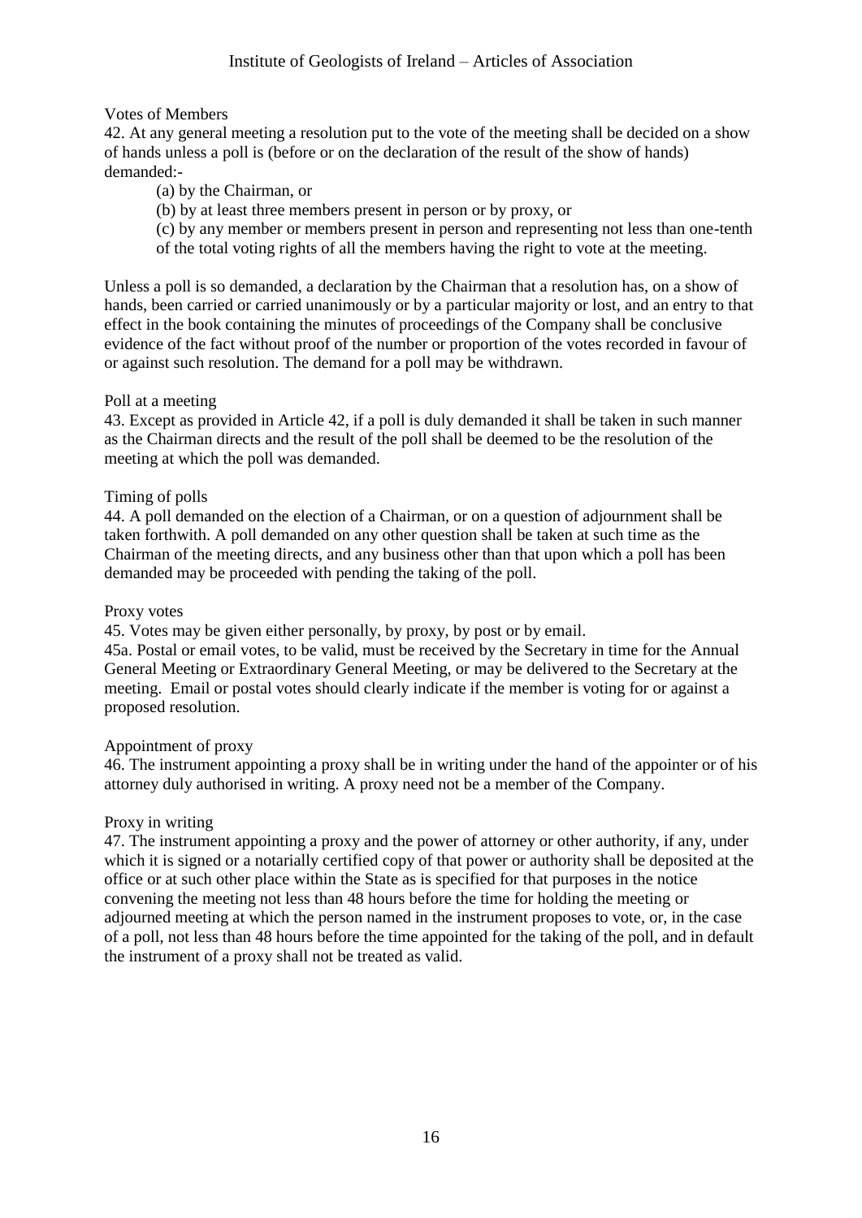# Votes of Members

42. At any general meeting a resolution put to the vote of the meeting shall be decided on a show of hands unless a poll is (before or on the declaration of the result of the show of hands) demanded:-

(a) by the Chairman, or

(b) by at least three members present in person or by proxy, or

(c) by any member or members present in person and representing not less than one-tenth of the total voting rights of all the members having the right to vote at the meeting.

Unless a poll is so demanded, a declaration by the Chairman that a resolution has, on a show of hands, been carried or carried unanimously or by a particular majority or lost, and an entry to that effect in the book containing the minutes of proceedings of the Company shall be conclusive evidence of the fact without proof of the number or proportion of the votes recorded in favour of or against such resolution. The demand for a poll may be withdrawn.

# Poll at a meeting

43. Except as provided in Article 42, if a poll is duly demanded it shall be taken in such manner as the Chairman directs and the result of the poll shall be deemed to be the resolution of the meeting at which the poll was demanded.

# Timing of polls

44. A poll demanded on the election of a Chairman, or on a question of adjournment shall be taken forthwith. A poll demanded on any other question shall be taken at such time as the Chairman of the meeting directs, and any business other than that upon which a poll has been demanded may be proceeded with pending the taking of the poll.

## Proxy votes

45. Votes may be given either personally, by proxy, by post or by email.

45a. Postal or email votes, to be valid, must be received by the Secretary in time for the Annual General Meeting or Extraordinary General Meeting, or may be delivered to the Secretary at the meeting. Email or postal votes should clearly indicate if the member is voting for or against a proposed resolution.

# Appointment of proxy

46. The instrument appointing a proxy shall be in writing under the hand of the appointer or of his attorney duly authorised in writing. A proxy need not be a member of the Company.

# Proxy in writing

47. The instrument appointing a proxy and the power of attorney or other authority, if any, under which it is signed or a notarially certified copy of that power or authority shall be deposited at the office or at such other place within the State as is specified for that purposes in the notice convening the meeting not less than 48 hours before the time for holding the meeting or adjourned meeting at which the person named in the instrument proposes to vote, or, in the case of a poll, not less than 48 hours before the time appointed for the taking of the poll, and in default the instrument of a proxy shall not be treated as valid.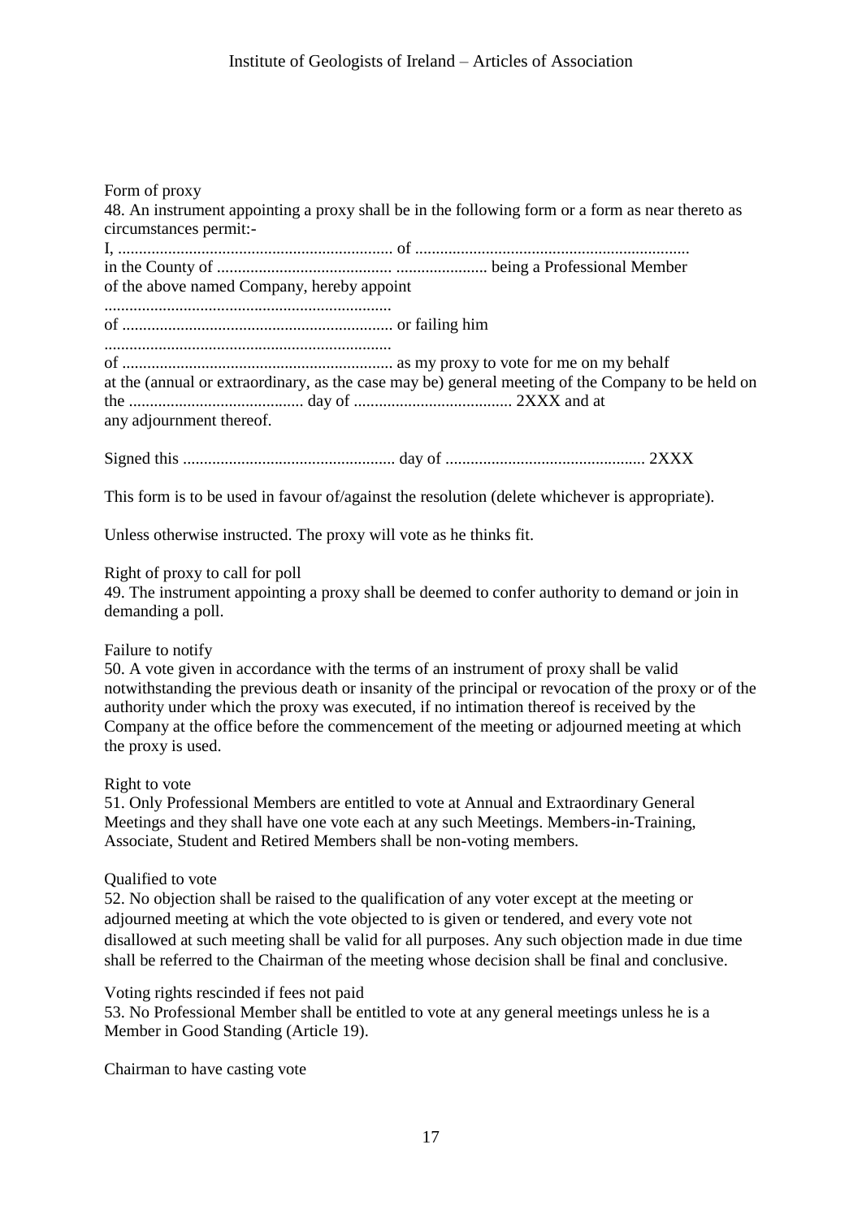| Form of proxy<br>48. An instrument appointing a proxy shall be in the following form or a form as near thereto as<br>circumstances permit:-<br>of the above named Company, hereby appoint |
|-------------------------------------------------------------------------------------------------------------------------------------------------------------------------------------------|
|                                                                                                                                                                                           |
| at the (annual or extraordinary, as the case may be) general meeting of the Company to be held on<br>any adjournment thereof.                                                             |
|                                                                                                                                                                                           |
| This form is to be used in favour of/against the resolution (delete whichever is appropriate).                                                                                            |

Unless otherwise instructed. The proxy will vote as he thinks fit.

## Right of proxy to call for poll

49. The instrument appointing a proxy shall be deemed to confer authority to demand or join in demanding a poll.

## Failure to notify

50. A vote given in accordance with the terms of an instrument of proxy shall be valid notwithstanding the previous death or insanity of the principal or revocation of the proxy or of the authority under which the proxy was executed, if no intimation thereof is received by the Company at the office before the commencement of the meeting or adjourned meeting at which the proxy is used.

#### Right to vote

51. Only Professional Members are entitled to vote at Annual and Extraordinary General Meetings and they shall have one vote each at any such Meetings. Members-in-Training, Associate, Student and Retired Members shall be non-voting members.

## Qualified to vote

52. No objection shall be raised to the qualification of any voter except at the meeting or adjourned meeting at which the vote objected to is given or tendered, and every vote not disallowed at such meeting shall be valid for all purposes. Any such objection made in due time shall be referred to the Chairman of the meeting whose decision shall be final and conclusive.

## Voting rights rescinded if fees not paid

53. No Professional Member shall be entitled to vote at any general meetings unless he is a Member in Good Standing (Article 19).

Chairman to have casting vote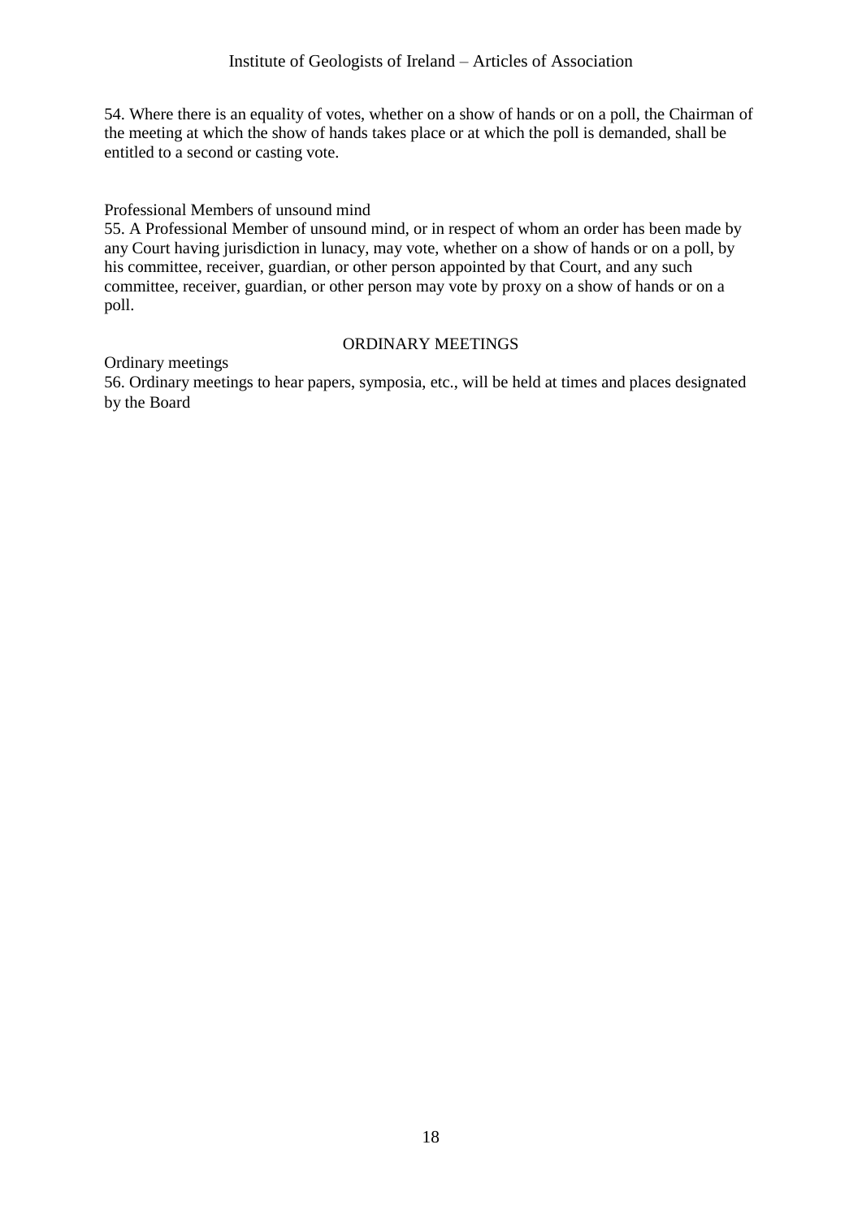54. Where there is an equality of votes, whether on a show of hands or on a poll, the Chairman of the meeting at which the show of hands takes place or at which the poll is demanded, shall be entitled to a second or casting vote.

# Professional Members of unsound mind

55. A Professional Member of unsound mind, or in respect of whom an order has been made by any Court having jurisdiction in lunacy, may vote, whether on a show of hands or on a poll, by his committee, receiver, guardian, or other person appointed by that Court, and any such committee, receiver, guardian, or other person may vote by proxy on a show of hands or on a poll.

# ORDINARY MEETINGS

Ordinary meetings

56. Ordinary meetings to hear papers, symposia, etc., will be held at times and places designated by the Board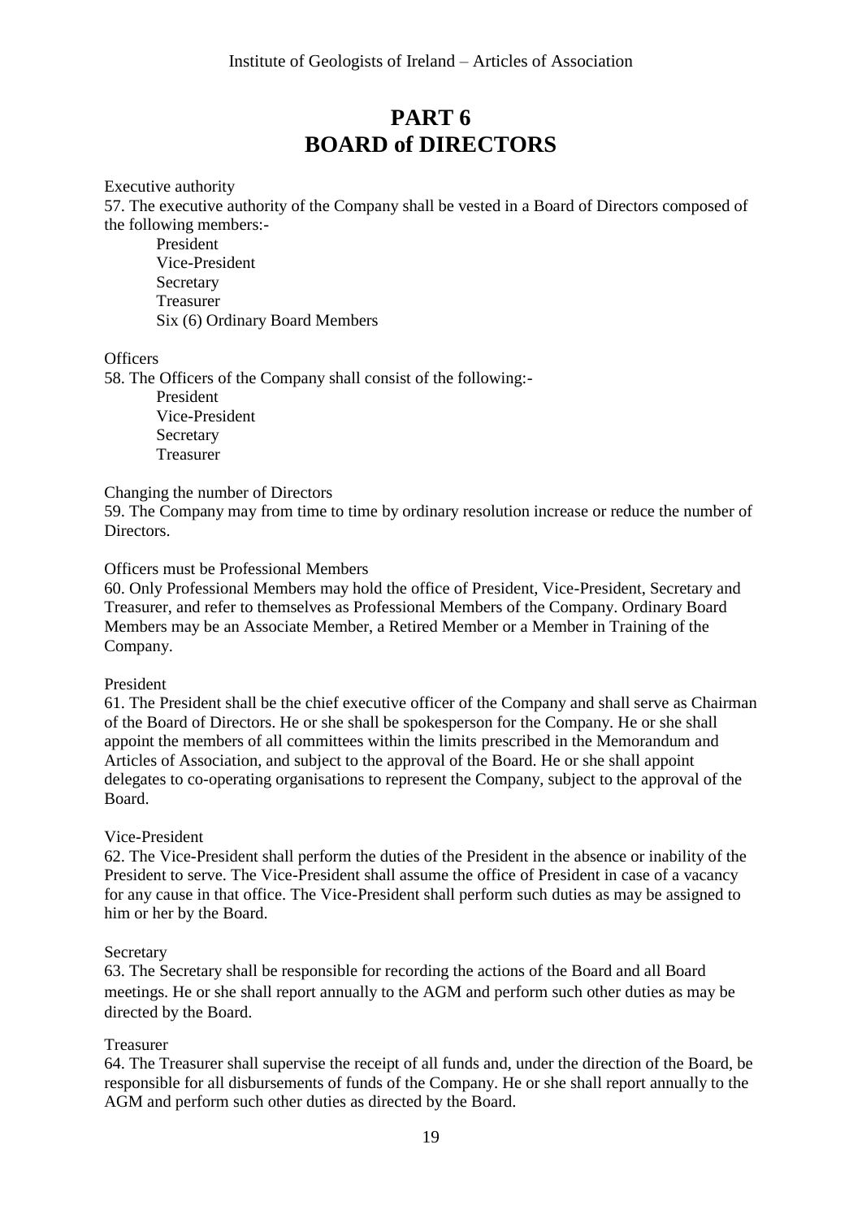# **PART 6 BOARD of DIRECTORS**

Executive authority

57. The executive authority of the Company shall be vested in a Board of Directors composed of the following members:-

President Vice-President Secretary Treasurer Six (6) Ordinary Board Members

#### **Officers**

58. The Officers of the Company shall consist of the following:- President Vice-President Secretary Treasurer

Changing the number of Directors

59. The Company may from time to time by ordinary resolution increase or reduce the number of Directors.

## Officers must be Professional Members

60. Only Professional Members may hold the office of President, Vice-President, Secretary and Treasurer, and refer to themselves as Professional Members of the Company. Ordinary Board Members may be an Associate Member, a Retired Member or a Member in Training of the Company.

#### President

61. The President shall be the chief executive officer of the Company and shall serve as Chairman of the Board of Directors. He or she shall be spokesperson for the Company. He or she shall appoint the members of all committees within the limits prescribed in the Memorandum and Articles of Association, and subject to the approval of the Board. He or she shall appoint delegates to co-operating organisations to represent the Company, subject to the approval of the Board.

## Vice-President

62. The Vice-President shall perform the duties of the President in the absence or inability of the President to serve. The Vice-President shall assume the office of President in case of a vacancy for any cause in that office. The Vice-President shall perform such duties as may be assigned to him or her by the Board.

#### Secretary

63. The Secretary shall be responsible for recording the actions of the Board and all Board meetings. He or she shall report annually to the AGM and perform such other duties as may be directed by the Board.

## Treasurer

64. The Treasurer shall supervise the receipt of all funds and, under the direction of the Board, be responsible for all disbursements of funds of the Company. He or she shall report annually to the AGM and perform such other duties as directed by the Board.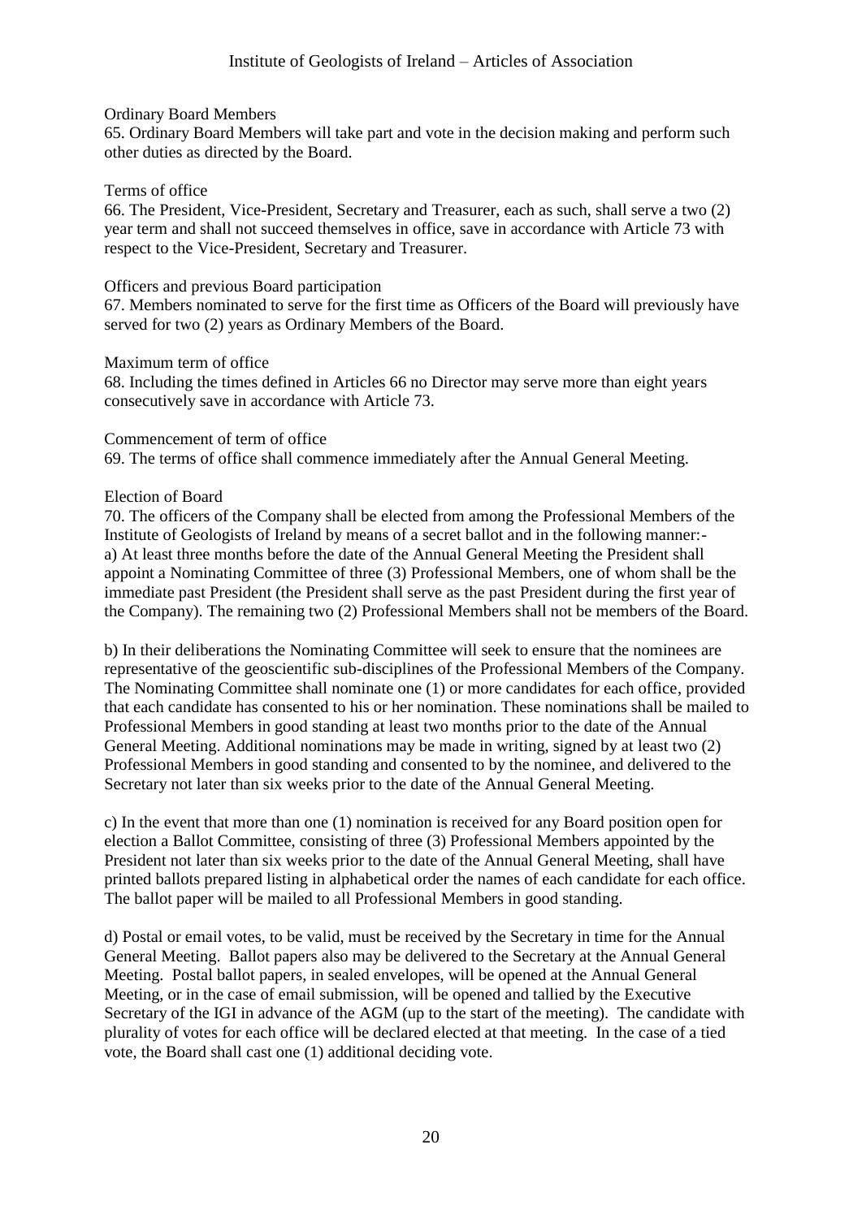### Ordinary Board Members

65. Ordinary Board Members will take part and vote in the decision making and perform such other duties as directed by the Board.

#### Terms of office

66. The President, Vice-President, Secretary and Treasurer, each as such, shall serve a two (2) year term and shall not succeed themselves in office, save in accordance with Article 73 with respect to the Vice-President, Secretary and Treasurer.

### Officers and previous Board participation

67. Members nominated to serve for the first time as Officers of the Board will previously have served for two (2) years as Ordinary Members of the Board.

#### Maximum term of office

68. Including the times defined in Articles 66 no Director may serve more than eight years consecutively save in accordance with Article 73.

#### Commencement of term of office

69. The terms of office shall commence immediately after the Annual General Meeting.

#### Election of Board

70. The officers of the Company shall be elected from among the Professional Members of the Institute of Geologists of Ireland by means of a secret ballot and in the following manner: a) At least three months before the date of the Annual General Meeting the President shall appoint a Nominating Committee of three (3) Professional Members, one of whom shall be the immediate past President (the President shall serve as the past President during the first year of the Company). The remaining two (2) Professional Members shall not be members of the Board.

b) In their deliberations the Nominating Committee will seek to ensure that the nominees are representative of the geoscientific sub-disciplines of the Professional Members of the Company. The Nominating Committee shall nominate one (1) or more candidates for each office, provided that each candidate has consented to his or her nomination. These nominations shall be mailed to Professional Members in good standing at least two months prior to the date of the Annual General Meeting. Additional nominations may be made in writing, signed by at least two (2) Professional Members in good standing and consented to by the nominee, and delivered to the Secretary not later than six weeks prior to the date of the Annual General Meeting.

c) In the event that more than one (1) nomination is received for any Board position open for election a Ballot Committee, consisting of three (3) Professional Members appointed by the President not later than six weeks prior to the date of the Annual General Meeting, shall have printed ballots prepared listing in alphabetical order the names of each candidate for each office. The ballot paper will be mailed to all Professional Members in good standing.

d) Postal or email votes, to be valid, must be received by the Secretary in time for the Annual General Meeting. Ballot papers also may be delivered to the Secretary at the Annual General Meeting. Postal ballot papers, in sealed envelopes, will be opened at the Annual General Meeting, or in the case of email submission, will be opened and tallied by the Executive Secretary of the IGI in advance of the AGM (up to the start of the meeting). The candidate with plurality of votes for each office will be declared elected at that meeting. In the case of a tied vote, the Board shall cast one (1) additional deciding vote.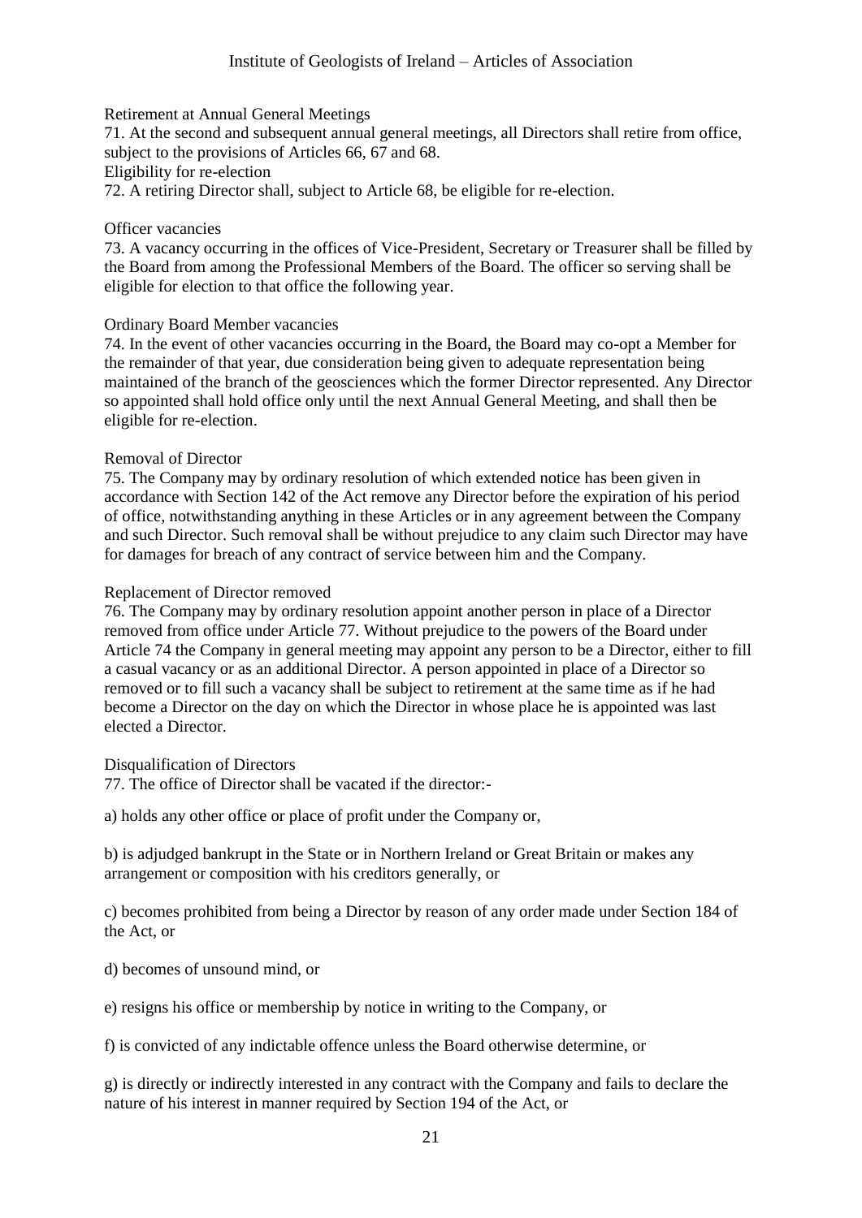### Retirement at Annual General Meetings

71. At the second and subsequent annual general meetings, all Directors shall retire from office, subject to the provisions of Articles 66, 67 and 68. Eligibility for re-election

72. A retiring Director shall, subject to Article 68, be eligible for re-election.

## Officer vacancies

73. A vacancy occurring in the offices of Vice-President, Secretary or Treasurer shall be filled by the Board from among the Professional Members of the Board. The officer so serving shall be eligible for election to that office the following year.

## Ordinary Board Member vacancies

74. In the event of other vacancies occurring in the Board, the Board may co-opt a Member for the remainder of that year, due consideration being given to adequate representation being maintained of the branch of the geosciences which the former Director represented. Any Director so appointed shall hold office only until the next Annual General Meeting, and shall then be eligible for re-election.

#### Removal of Director

75. The Company may by ordinary resolution of which extended notice has been given in accordance with Section 142 of the Act remove any Director before the expiration of his period of office, notwithstanding anything in these Articles or in any agreement between the Company and such Director. Such removal shall be without prejudice to any claim such Director may have for damages for breach of any contract of service between him and the Company.

#### Replacement of Director removed

76. The Company may by ordinary resolution appoint another person in place of a Director removed from office under Article 77. Without prejudice to the powers of the Board under Article 74 the Company in general meeting may appoint any person to be a Director, either to fill a casual vacancy or as an additional Director. A person appointed in place of a Director so removed or to fill such a vacancy shall be subject to retirement at the same time as if he had become a Director on the day on which the Director in whose place he is appointed was last elected a Director.

## Disqualification of Directors

77. The office of Director shall be vacated if the director:-

a) holds any other office or place of profit under the Company or,

b) is adjudged bankrupt in the State or in Northern Ireland or Great Britain or makes any arrangement or composition with his creditors generally, or

c) becomes prohibited from being a Director by reason of any order made under Section 184 of the Act, or

- d) becomes of unsound mind, or
- e) resigns his office or membership by notice in writing to the Company, or

f) is convicted of any indictable offence unless the Board otherwise determine, or

g) is directly or indirectly interested in any contract with the Company and fails to declare the nature of his interest in manner required by Section 194 of the Act, or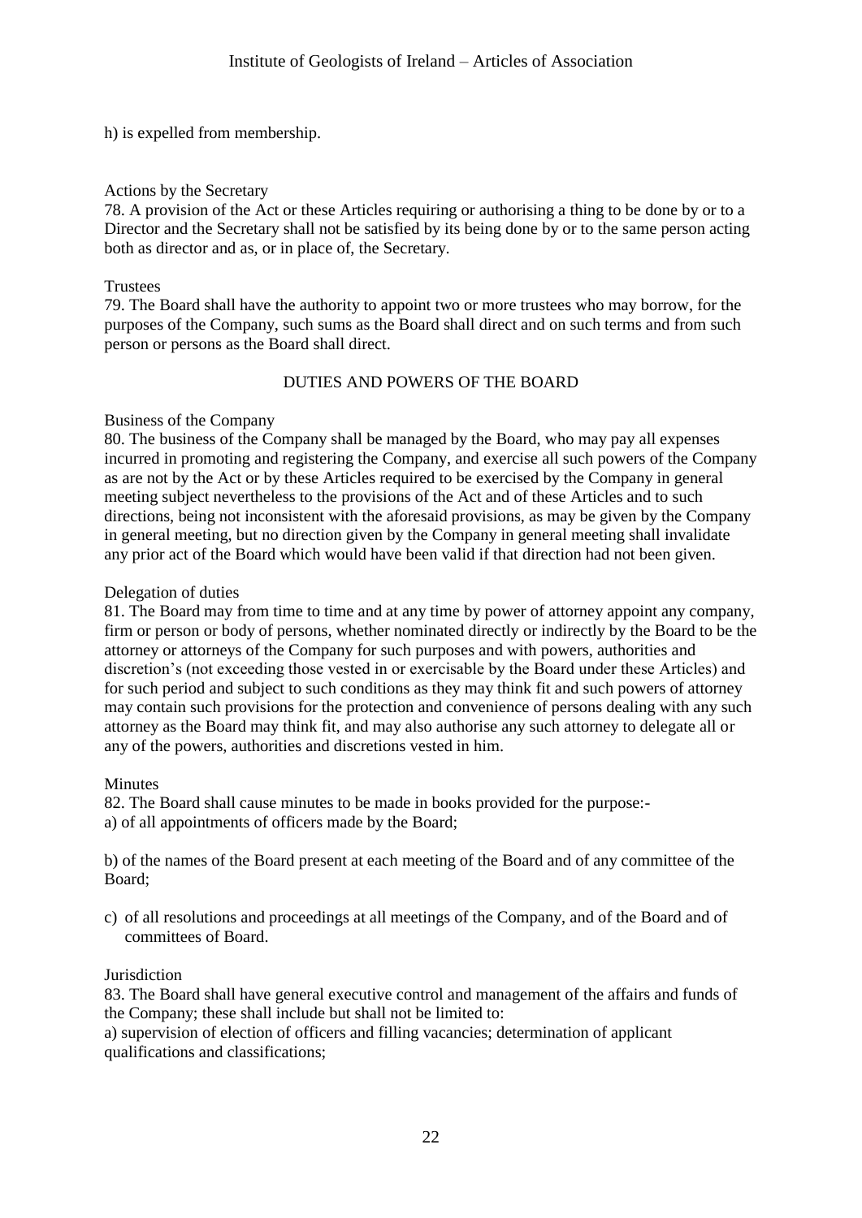h) is expelled from membership.

## Actions by the Secretary

78. A provision of the Act or these Articles requiring or authorising a thing to be done by or to a Director and the Secretary shall not be satisfied by its being done by or to the same person acting both as director and as, or in place of, the Secretary.

## **Trustees**

79. The Board shall have the authority to appoint two or more trustees who may borrow, for the purposes of the Company, such sums as the Board shall direct and on such terms and from such person or persons as the Board shall direct.

# DUTIES AND POWERS OF THE BOARD

# Business of the Company

80. The business of the Company shall be managed by the Board, who may pay all expenses incurred in promoting and registering the Company, and exercise all such powers of the Company as are not by the Act or by these Articles required to be exercised by the Company in general meeting subject nevertheless to the provisions of the Act and of these Articles and to such directions, being not inconsistent with the aforesaid provisions, as may be given by the Company in general meeting, but no direction given by the Company in general meeting shall invalidate any prior act of the Board which would have been valid if that direction had not been given.

# Delegation of duties

81. The Board may from time to time and at any time by power of attorney appoint any company, firm or person or body of persons, whether nominated directly or indirectly by the Board to be the attorney or attorneys of the Company for such purposes and with powers, authorities and discretion's (not exceeding those vested in or exercisable by the Board under these Articles) and for such period and subject to such conditions as they may think fit and such powers of attorney may contain such provisions for the protection and convenience of persons dealing with any such attorney as the Board may think fit, and may also authorise any such attorney to delegate all or any of the powers, authorities and discretions vested in him.

## Minutes

82. The Board shall cause minutes to be made in books provided for the purpose: a) of all appointments of officers made by the Board;

b) of the names of the Board present at each meeting of the Board and of any committee of the Board;

c) of all resolutions and proceedings at all meetings of the Company, and of the Board and of committees of Board.

## **Jurisdiction**

83. The Board shall have general executive control and management of the affairs and funds of the Company; these shall include but shall not be limited to:

a) supervision of election of officers and filling vacancies; determination of applicant qualifications and classifications;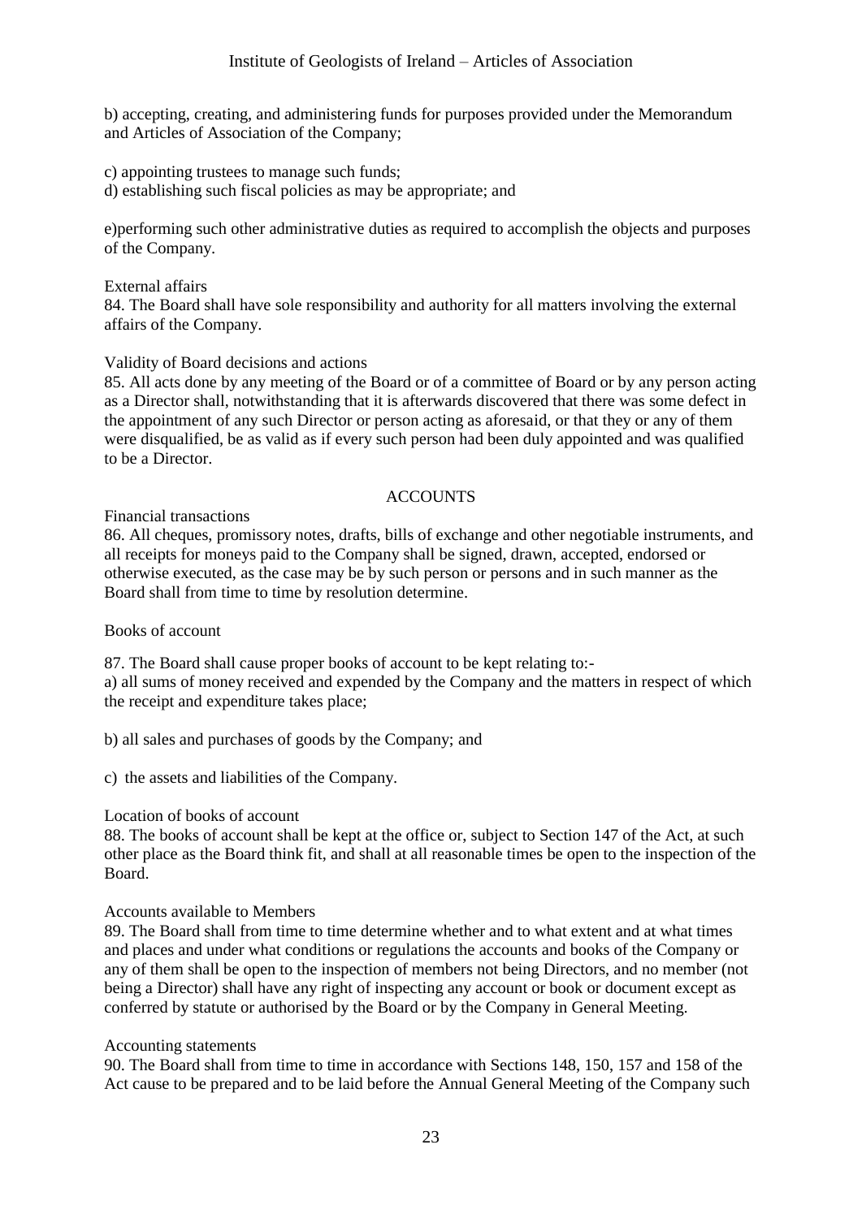b) accepting, creating, and administering funds for purposes provided under the Memorandum and Articles of Association of the Company;

c) appointing trustees to manage such funds;

d) establishing such fiscal policies as may be appropriate; and

e)performing such other administrative duties as required to accomplish the objects and purposes of the Company.

#### External affairs 84. The Board shall have sole responsibility and authority for all matters involving the external affairs of the Company.

# Validity of Board decisions and actions

85. All acts done by any meeting of the Board or of a committee of Board or by any person acting as a Director shall, notwithstanding that it is afterwards discovered that there was some defect in the appointment of any such Director or person acting as aforesaid, or that they or any of them were disqualified, be as valid as if every such person had been duly appointed and was qualified to be a Director.

# ACCOUNTS

Financial transactions

86. All cheques, promissory notes, drafts, bills of exchange and other negotiable instruments, and all receipts for moneys paid to the Company shall be signed, drawn, accepted, endorsed or otherwise executed, as the case may be by such person or persons and in such manner as the Board shall from time to time by resolution determine.

Books of account

87. The Board shall cause proper books of account to be kept relating to: a) all sums of money received and expended by the Company and the matters in respect of which the receipt and expenditure takes place;

b) all sales and purchases of goods by the Company; and

c) the assets and liabilities of the Company.

## Location of books of account

88. The books of account shall be kept at the office or, subject to Section 147 of the Act, at such other place as the Board think fit, and shall at all reasonable times be open to the inspection of the Board.

## Accounts available to Members

89. The Board shall from time to time determine whether and to what extent and at what times and places and under what conditions or regulations the accounts and books of the Company or any of them shall be open to the inspection of members not being Directors, and no member (not being a Director) shall have any right of inspecting any account or book or document except as conferred by statute or authorised by the Board or by the Company in General Meeting.

## Accounting statements

90. The Board shall from time to time in accordance with Sections 148, 150, 157 and 158 of the Act cause to be prepared and to be laid before the Annual General Meeting of the Company such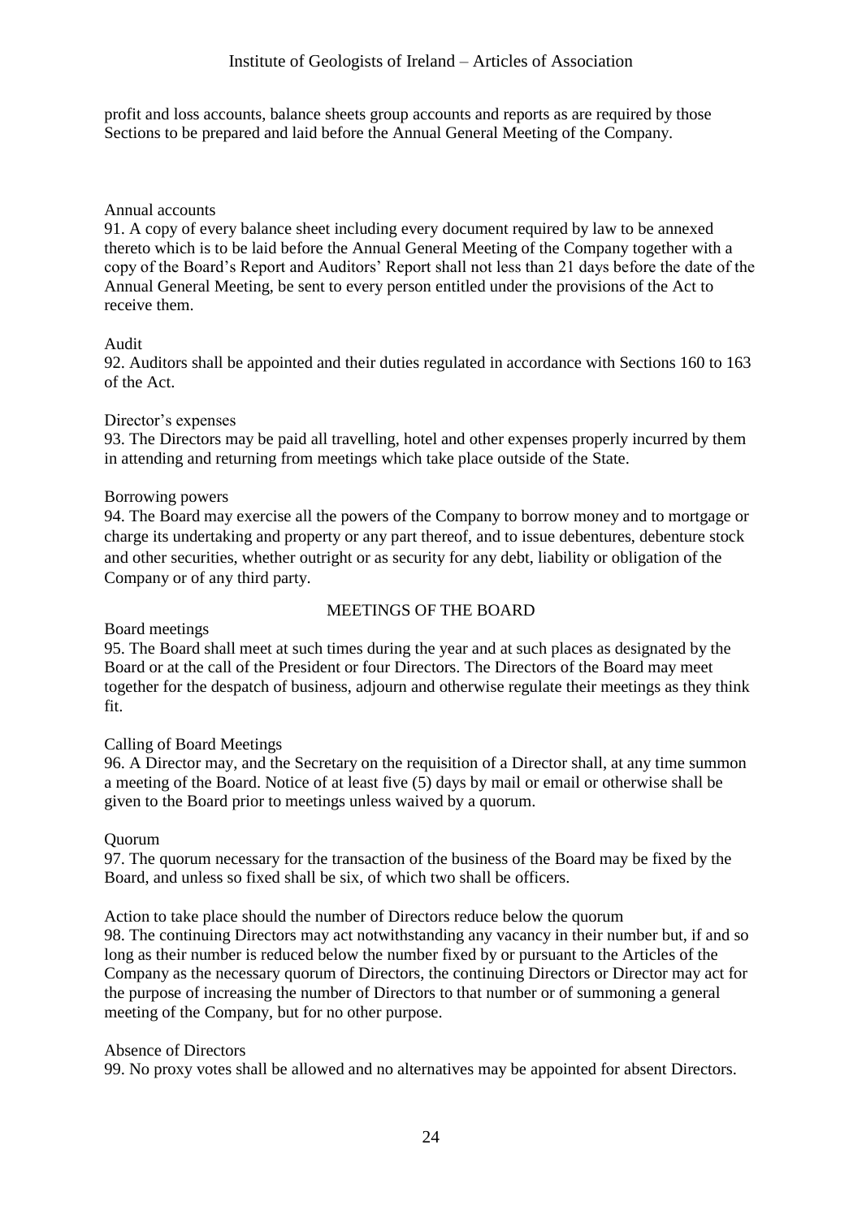profit and loss accounts, balance sheets group accounts and reports as are required by those Sections to be prepared and laid before the Annual General Meeting of the Company.

# Annual accounts

91. A copy of every balance sheet including every document required by law to be annexed thereto which is to be laid before the Annual General Meeting of the Company together with a copy of the Board's Report and Auditors' Report shall not less than 21 days before the date of the Annual General Meeting, be sent to every person entitled under the provisions of the Act to receive them.

# Audit

92. Auditors shall be appointed and their duties regulated in accordance with Sections 160 to 163 of the Act.

## Director's expenses

93. The Directors may be paid all travelling, hotel and other expenses properly incurred by them in attending and returning from meetings which take place outside of the State.

# Borrowing powers

94. The Board may exercise all the powers of the Company to borrow money and to mortgage or charge its undertaking and property or any part thereof, and to issue debentures, debenture stock and other securities, whether outright or as security for any debt, liability or obligation of the Company or of any third party.

# MEETINGS OF THE BOARD

## Board meetings

95. The Board shall meet at such times during the year and at such places as designated by the Board or at the call of the President or four Directors. The Directors of the Board may meet together for the despatch of business, adjourn and otherwise regulate their meetings as they think fit.

## Calling of Board Meetings

96. A Director may, and the Secretary on the requisition of a Director shall, at any time summon a meeting of the Board. Notice of at least five (5) days by mail or email or otherwise shall be given to the Board prior to meetings unless waived by a quorum.

# Quorum

97. The quorum necessary for the transaction of the business of the Board may be fixed by the Board, and unless so fixed shall be six, of which two shall be officers.

Action to take place should the number of Directors reduce below the quorum 98. The continuing Directors may act notwithstanding any vacancy in their number but, if and so long as their number is reduced below the number fixed by or pursuant to the Articles of the Company as the necessary quorum of Directors, the continuing Directors or Director may act for the purpose of increasing the number of Directors to that number or of summoning a general meeting of the Company, but for no other purpose.

## Absence of Directors

99. No proxy votes shall be allowed and no alternatives may be appointed for absent Directors.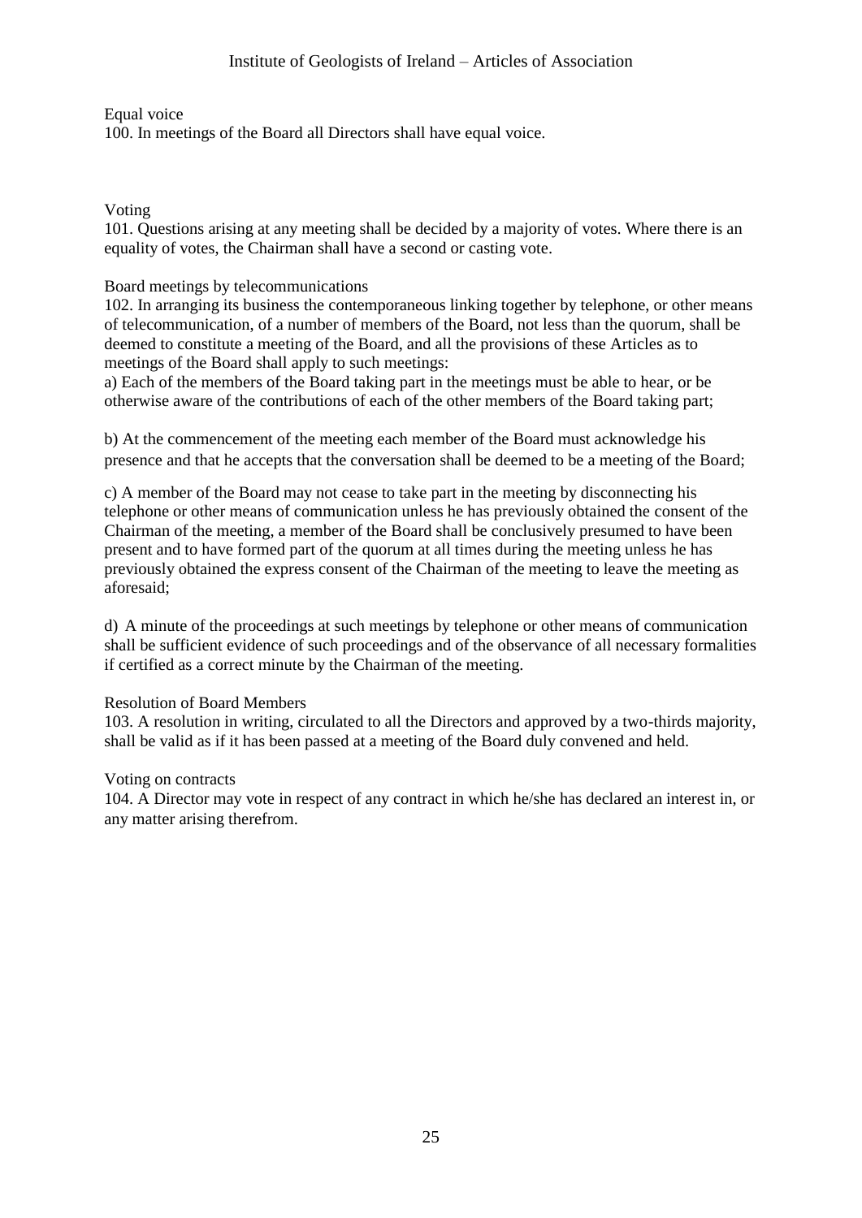Equal voice

100. In meetings of the Board all Directors shall have equal voice.

Voting

101. Questions arising at any meeting shall be decided by a majority of votes. Where there is an equality of votes, the Chairman shall have a second or casting vote.

# Board meetings by telecommunications

102. In arranging its business the contemporaneous linking together by telephone, or other means of telecommunication, of a number of members of the Board, not less than the quorum, shall be deemed to constitute a meeting of the Board, and all the provisions of these Articles as to meetings of the Board shall apply to such meetings:

a) Each of the members of the Board taking part in the meetings must be able to hear, or be otherwise aware of the contributions of each of the other members of the Board taking part;

b) At the commencement of the meeting each member of the Board must acknowledge his presence and that he accepts that the conversation shall be deemed to be a meeting of the Board;

c) A member of the Board may not cease to take part in the meeting by disconnecting his telephone or other means of communication unless he has previously obtained the consent of the Chairman of the meeting, a member of the Board shall be conclusively presumed to have been present and to have formed part of the quorum at all times during the meeting unless he has previously obtained the express consent of the Chairman of the meeting to leave the meeting as aforesaid;

d) A minute of the proceedings at such meetings by telephone or other means of communication shall be sufficient evidence of such proceedings and of the observance of all necessary formalities if certified as a correct minute by the Chairman of the meeting.

## Resolution of Board Members

103. A resolution in writing, circulated to all the Directors and approved by a two-thirds majority, shall be valid as if it has been passed at a meeting of the Board duly convened and held.

## Voting on contracts

104. A Director may vote in respect of any contract in which he/she has declared an interest in, or any matter arising therefrom.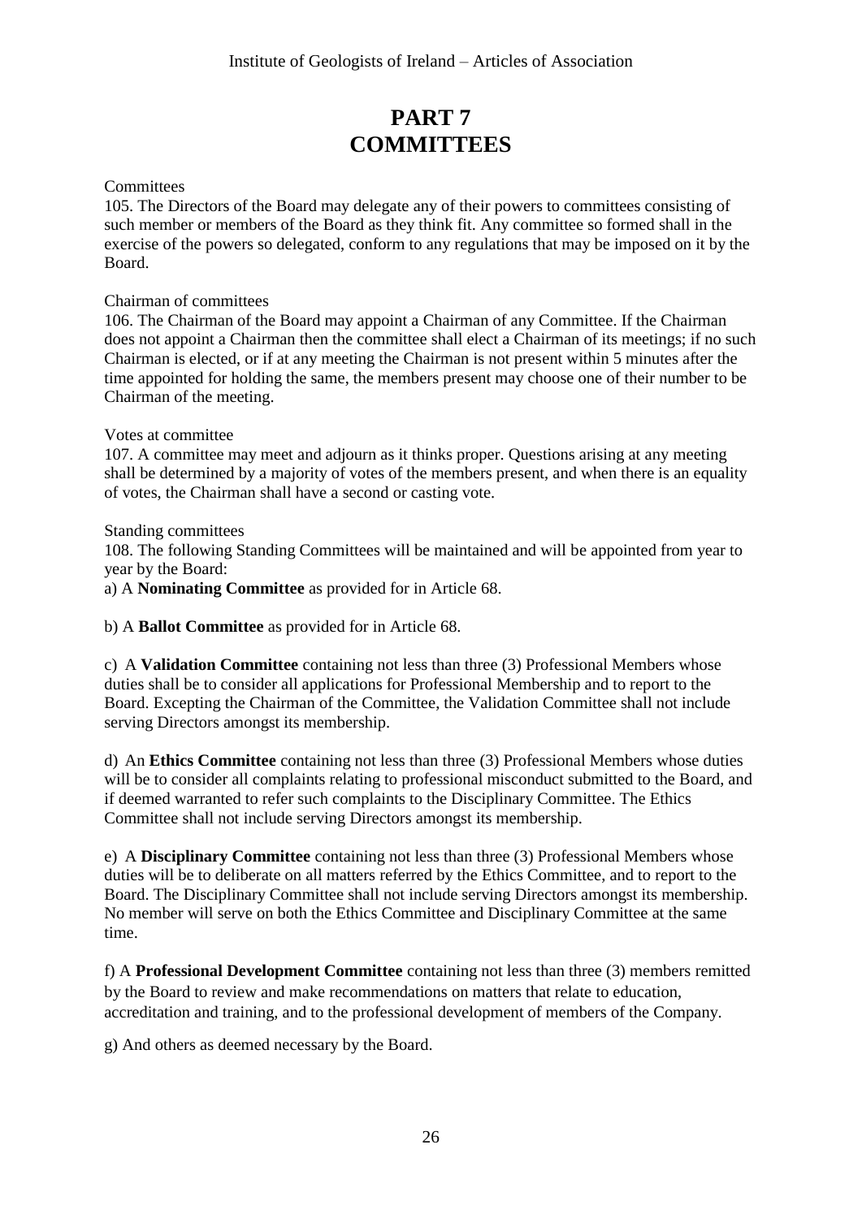# **PART 7 COMMITTEES**

**Committees** 

105. The Directors of the Board may delegate any of their powers to committees consisting of such member or members of the Board as they think fit. Any committee so formed shall in the exercise of the powers so delegated, conform to any regulations that may be imposed on it by the Board.

Chairman of committees

106. The Chairman of the Board may appoint a Chairman of any Committee. If the Chairman does not appoint a Chairman then the committee shall elect a Chairman of its meetings; if no such Chairman is elected, or if at any meeting the Chairman is not present within 5 minutes after the time appointed for holding the same, the members present may choose one of their number to be Chairman of the meeting.

## Votes at committee

107. A committee may meet and adjourn as it thinks proper. Questions arising at any meeting shall be determined by a majority of votes of the members present, and when there is an equality of votes, the Chairman shall have a second or casting vote.

Standing committees

108. The following Standing Committees will be maintained and will be appointed from year to year by the Board:

a) A **Nominating Committee** as provided for in Article 68.

b) A **Ballot Committee** as provided for in Article 68.

c) A **Validation Committee** containing not less than three (3) Professional Members whose duties shall be to consider all applications for Professional Membership and to report to the Board. Excepting the Chairman of the Committee, the Validation Committee shall not include serving Directors amongst its membership.

d) An **Ethics Committee** containing not less than three (3) Professional Members whose duties will be to consider all complaints relating to professional misconduct submitted to the Board, and if deemed warranted to refer such complaints to the Disciplinary Committee. The Ethics Committee shall not include serving Directors amongst its membership.

e) A **Disciplinary Committee** containing not less than three (3) Professional Members whose duties will be to deliberate on all matters referred by the Ethics Committee, and to report to the Board. The Disciplinary Committee shall not include serving Directors amongst its membership. No member will serve on both the Ethics Committee and Disciplinary Committee at the same time.

f) A **Professional Development Committee** containing not less than three (3) members remitted by the Board to review and make recommendations on matters that relate to education, accreditation and training, and to the professional development of members of the Company.

g) And others as deemed necessary by the Board.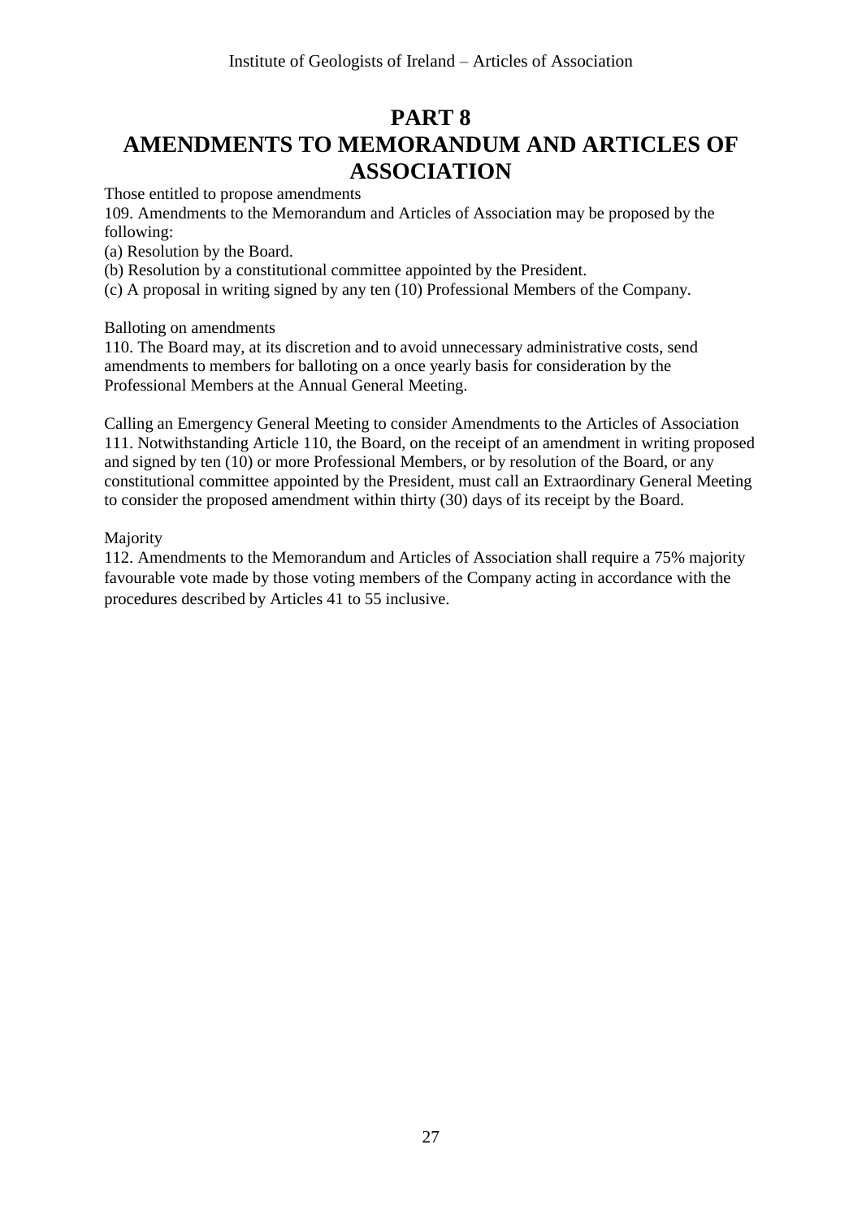# **PART 8 AMENDMENTS TO MEMORANDUM AND ARTICLES OF ASSOCIATION**

Those entitled to propose amendments

109. Amendments to the Memorandum and Articles of Association may be proposed by the following:

(a) Resolution by the Board.

(b) Resolution by a constitutional committee appointed by the President.

(c) A proposal in writing signed by any ten (10) Professional Members of the Company.

Balloting on amendments

110. The Board may, at its discretion and to avoid unnecessary administrative costs, send amendments to members for balloting on a once yearly basis for consideration by the Professional Members at the Annual General Meeting.

Calling an Emergency General Meeting to consider Amendments to the Articles of Association 111. Notwithstanding Article 110, the Board, on the receipt of an amendment in writing proposed and signed by ten (10) or more Professional Members, or by resolution of the Board, or any constitutional committee appointed by the President, must call an Extraordinary General Meeting to consider the proposed amendment within thirty (30) days of its receipt by the Board.

Majority

112. Amendments to the Memorandum and Articles of Association shall require a 75% majority favourable vote made by those voting members of the Company acting in accordance with the procedures described by Articles 41 to 55 inclusive.